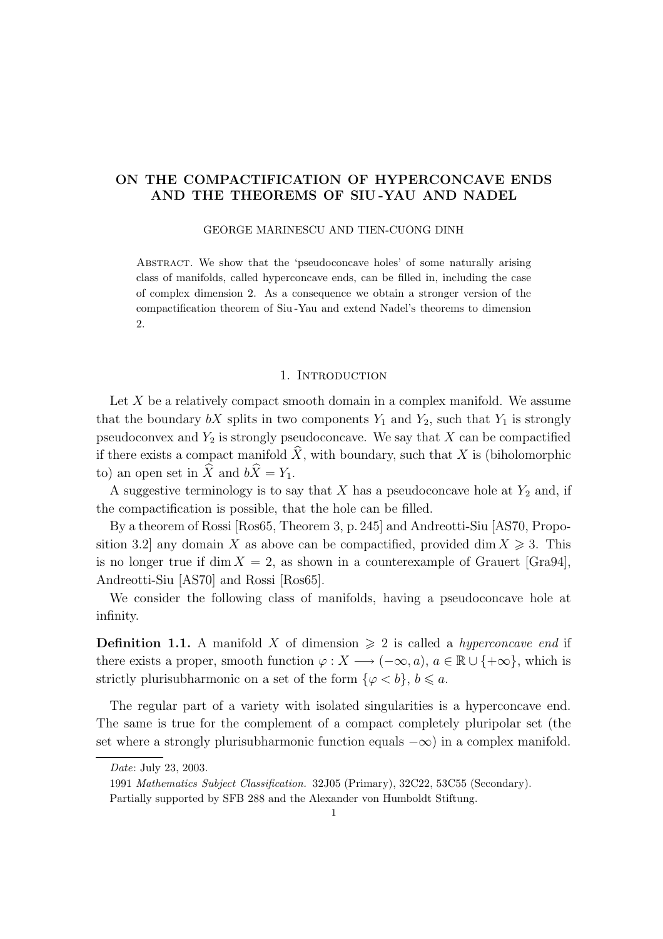# ON THE COMPACTIFICATION OF HYPERCONCAVE ENDS AND THE THEOREMS OF SIU -YAU AND NADEL

### GEORGE MARINESCU AND TIEN-CUONG DINH

Abstract. We show that the 'pseudoconcave holes' of some naturally arising class of manifolds, called hyperconcave ends, can be filled in, including the case of complex dimension 2. As a consequence we obtain a stronger version of the compactification theorem of Siu -Yau and extend Nadel's theorems to dimension 2.

### 1. Introduction

Let  $X$  be a relatively compact smooth domain in a complex manifold. We assume that the boundary  $bX$  splits in two components  $Y_1$  and  $Y_2$ , such that  $Y_1$  is strongly pseudoconvex and  $Y_2$  is strongly pseudoconcave. We say that  $X$  can be compactified if there exists a compact manifold  $\hat{X}$ , with boundary, such that X is (biholomorphic to) an open set in  $\widehat{X}$  and  $b\widehat{X} = Y_1$ .

A suggestive terminology is to say that  $X$  has a pseudoconcave hole at  $Y_2$  and, if the compactification is possible, that the hole can be filled.

By a theorem of Rossi [Ros65, Theorem 3, p. 245] and Andreotti-Siu [AS70, Proposition 3.2] any domain X as above can be compactified, provided dim  $X \ge 3$ . This is no longer true if dim  $X = 2$ , as shown in a counterexample of Grauert [Gra94], Andreotti-Siu [AS70] and Rossi [Ros65].

We consider the following class of manifolds, having a pseudoconcave hole at infinity.

**Definition 1.1.** A manifold X of dimension  $\geq 2$  is called a *hyperconcave end* if there exists a proper, smooth function  $\varphi: X \longrightarrow (-\infty, a), a \in \mathbb{R} \cup \{+\infty\}$ , which is strictly plurisubharmonic on a set of the form  $\{\varphi < b\}, b \leq a$ .

The regular part of a variety with isolated singularities is a hyperconcave end. The same is true for the complement of a compact completely pluripolar set (the set where a strongly plurisubharmonic function equals  $-\infty$ ) in a complex manifold.

Date: July 23, 2003.

<sup>1991</sup> Mathematics Subject Classification. 32J05 (Primary), 32C22, 53C55 (Secondary).

Partially supported by SFB 288 and the Alexander von Humboldt Stiftung.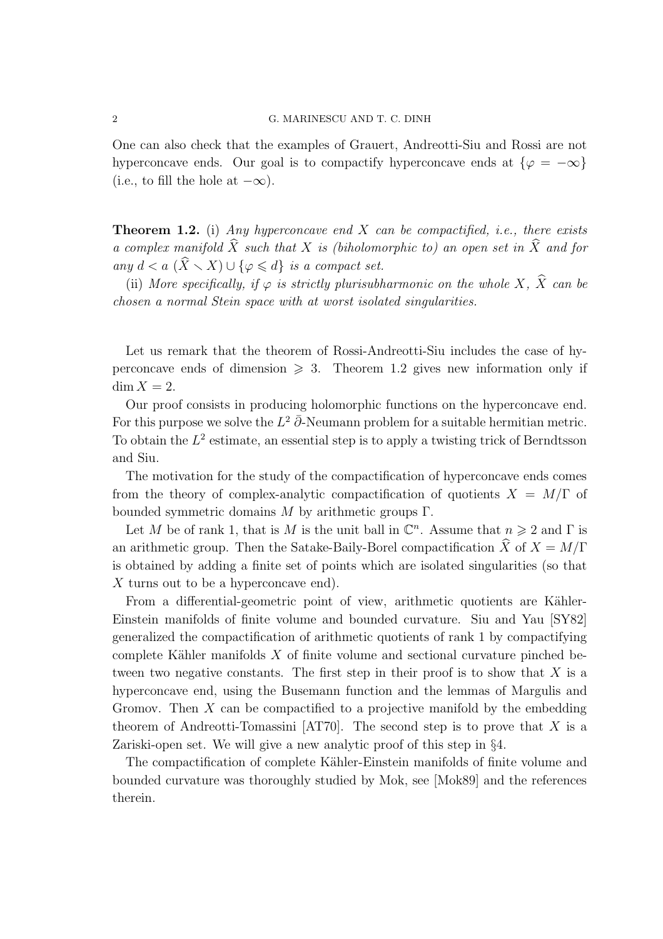One can also check that the examples of Grauert, Andreotti-Siu and Rossi are not hyperconcave ends. Our goal is to compactify hyperconcave ends at  $\{\varphi = -\infty\}$ (i.e., to fill the hole at  $-\infty$ ).

**Theorem 1.2.** (i) Any hyperconcave end X can be compactified, i.e., there exists a complex manifold  $\hat{X}$  such that X is (biholomorphic to) an open set in  $\hat{X}$  and for any  $d < a$   $(\widehat{X} \setminus X) \cup \{\varphi \leq d\}$  is a compact set.

(ii) More specifically, if  $\varphi$  is strictly plurisubharmonic on the whole X,  $\widehat{X}$  can be chosen a normal Stein space with at worst isolated singularities.

Let us remark that the theorem of Rossi-Andreotti-Siu includes the case of hyperconcave ends of dimension  $\geq 3$ . Theorem 1.2 gives new information only if  $\dim X = 2$ .

Our proof consists in producing holomorphic functions on the hyperconcave end. For this purpose we solve the  $L^2 \bar{\partial}$ -Neumann problem for a suitable hermitian metric. To obtain the  $L^2$  estimate, an essential step is to apply a twisting trick of Berndtsson and Siu.

The motivation for the study of the compactification of hyperconcave ends comes from the theory of complex-analytic compactification of quotients  $X = M/\Gamma$  of bounded symmetric domains  $M$  by arithmetic groups Γ.

Let M be of rank 1, that is M is the unit ball in  $\mathbb{C}^n$ . Assume that  $n \geq 2$  and  $\Gamma$  is an arithmetic group. Then the Satake-Baily-Borel compactification  $\hat{X}$  of  $X = M/\Gamma$ is obtained by adding a finite set of points which are isolated singularities (so that X turns out to be a hyperconcave end).

From a differential-geometric point of view, arithmetic quotients are Kähler-Einstein manifolds of finite volume and bounded curvature. Siu and Yau [SY82] generalized the compactification of arithmetic quotients of rank 1 by compactifying complete Kähler manifolds  $X$  of finite volume and sectional curvature pinched between two negative constants. The first step in their proof is to show that  $X$  is a hyperconcave end, using the Busemann function and the lemmas of Margulis and Gromov. Then  $X$  can be compactified to a projective manifold by the embedding theorem of Andreotti-Tomassini [AT70]. The second step is to prove that  $X$  is a Zariski-open set. We will give a new analytic proof of this step in §4.

The compactification of complete Kähler-Einstein manifolds of finite volume and bounded curvature was thoroughly studied by Mok, see [Mok89] and the references therein.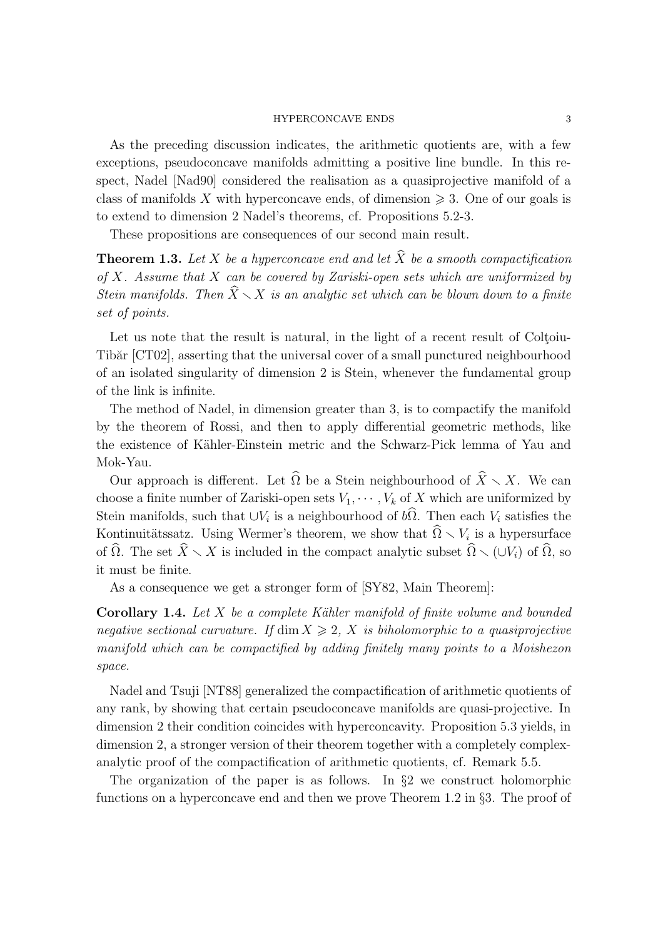As the preceding discussion indicates, the arithmetic quotients are, with a few exceptions, pseudoconcave manifolds admitting a positive line bundle. In this respect, Nadel [Nad90] considered the realisation as a quasiprojective manifold of a class of manifolds X with hyperconcave ends, of dimension  $\geq 3$ . One of our goals is to extend to dimension 2 Nadel's theorems, cf. Propositions 5.2-3.

These propositions are consequences of our second main result.

**Theorem 1.3.** Let X be a hyperconcave end and let  $\widehat{X}$  be a smooth compactification of X. Assume that X can be covered by Zariski-open sets which are uniformized by Stein manifolds. Then  $\widehat{X}\setminus X$  is an analytic set which can be blown down to a finite set of points.

Let us note that the result is natural, in the light of a recent result of Coltoiu-Tibăr [CT02], asserting that the universal cover of a small punctured neighbourhood of an isolated singularity of dimension 2 is Stein, whenever the fundamental group of the link is infinite.

The method of Nadel, in dimension greater than 3, is to compactify the manifold by the theorem of Rossi, and then to apply differential geometric methods, like the existence of Kähler-Einstein metric and the Schwarz-Pick lemma of Yau and Mok-Yau.

Our approach is different. Let  $\widehat{\Omega}$  be a Stein neighbourhood of  $\widehat{X}\setminus X$ . We can choose a finite number of Zariski-open sets  $V_1, \dots, V_k$  of X which are uniformized by Stein manifolds, such that  $\cup V_i$  is a neighbourhood of  $b\Omega$ . Then each  $V_i$  satisfies the Kontinuitätssatz. Using Wermer's theorem, we show that  $\widehat{\Omega} \setminus V_i$  is a hypersurface of  $\widehat{\Omega}$ . The set  $\widehat{X}\setminus X$  is included in the compact analytic subset  $\widehat{\Omega}\setminus (\cup V_i)$  of  $\widehat{\Omega}$ , so it must be finite.

As a consequence we get a stronger form of [SY82, Main Theorem]:

**Corollary 1.4.** Let X be a complete Kähler manifold of finite volume and bounded negative sectional curvature. If  $\dim X \geq 2$ , X is biholomorphic to a quasiprojective manifold which can be compactified by adding finitely many points to a Moishezon space.

Nadel and Tsuji [NT88] generalized the compactification of arithmetic quotients of any rank, by showing that certain pseudoconcave manifolds are quasi-projective. In dimension 2 their condition coincides with hyperconcavity. Proposition 5.3 yields, in dimension 2, a stronger version of their theorem together with a completely complexanalytic proof of the compactification of arithmetic quotients, cf. Remark 5.5.

The organization of the paper is as follows. In §2 we construct holomorphic functions on a hyperconcave end and then we prove Theorem 1.2 in §3. The proof of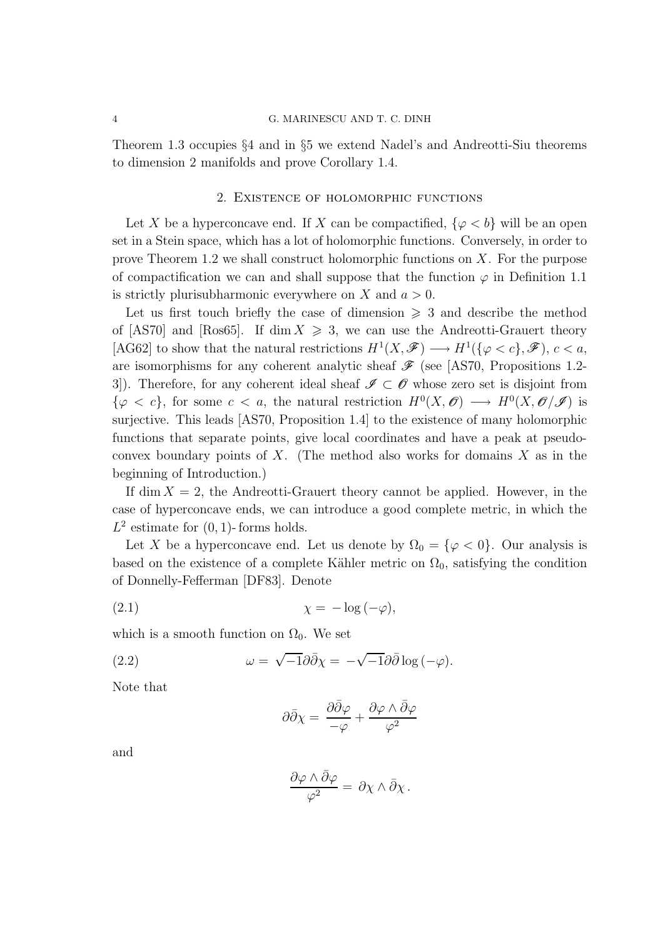#### 4 G. MARINESCU AND T. C. DINH

Theorem 1.3 occupies §4 and in §5 we extend Nadel's and Andreotti-Siu theorems to dimension 2 manifolds and prove Corollary 1.4.

## 2. Existence of holomorphic functions

Let X be a hyperconcave end. If X can be compactified,  $\{\varphi < b\}$  will be an open set in a Stein space, which has a lot of holomorphic functions. Conversely, in order to prove Theorem 1.2 we shall construct holomorphic functions on X. For the purpose of compactification we can and shall suppose that the function  $\varphi$  in Definition 1.1 is strictly plurisubharmonic everywhere on X and  $a > 0$ .

Let us first touch briefly the case of dimension  $\geq 3$  and describe the method of [AS70] and [Ros65]. If dim  $X \ge 3$ , we can use the Andreotti-Grauert theory [AG62] to show that the natural restrictions  $H^1(X,\mathscr{F}) \longrightarrow H^1(\{\varphi < c\},\mathscr{F}), c < a$ , are isomorphisms for any coherent analytic sheaf  $\mathscr F$  (see [AS70, Propositions 1.2-3. Therefore, for any coherent ideal sheaf  $\mathscr{I} \subset \mathscr{O}$  whose zero set is disjoint from  $\{\varphi \langle c\},\$  for some  $c \langle a,\rangle$  the natural restriction  $H^0(X,\mathscr{O}) \longrightarrow H^0(X,\mathscr{O}/\mathscr{I})$  is surjective. This leads [AS70, Proposition 1.4] to the existence of many holomorphic functions that separate points, give local coordinates and have a peak at pseudoconvex boundary points of  $X$ . (The method also works for domains  $X$  as in the beginning of Introduction.)

If dim  $X = 2$ , the Andreotti-Grauert theory cannot be applied. However, in the case of hyperconcave ends, we can introduce a good complete metric, in which the  $L^2$  estimate for  $(0, 1)$ -forms holds.

Let X be a hyperconcave end. Let us denote by  $\Omega_0 = {\varphi < 0}$ . Our analysis is based on the existence of a complete Kähler metric on  $\Omega_0$ , satisfying the condition of Donnelly-Fefferman [DF83]. Denote

$$
\chi = -\log(-\varphi),
$$

which is a smooth function on  $\Omega_0$ . We set

(2.2) 
$$
\omega = \sqrt{-1} \partial \bar{\partial} \chi = -\sqrt{-1} \partial \bar{\partial} \log(-\varphi).
$$

Note that

$$
\partial\bar{\partial}\chi=\,\frac{\partial\bar{\partial}\varphi}{-\varphi}+\frac{\partial\varphi\wedge\bar{\partial}\varphi}{\varphi^2}
$$

and

$$
\frac{\partial \varphi \wedge \bar{\partial} \varphi}{\varphi^2} = \partial \chi \wedge \bar{\partial} \chi.
$$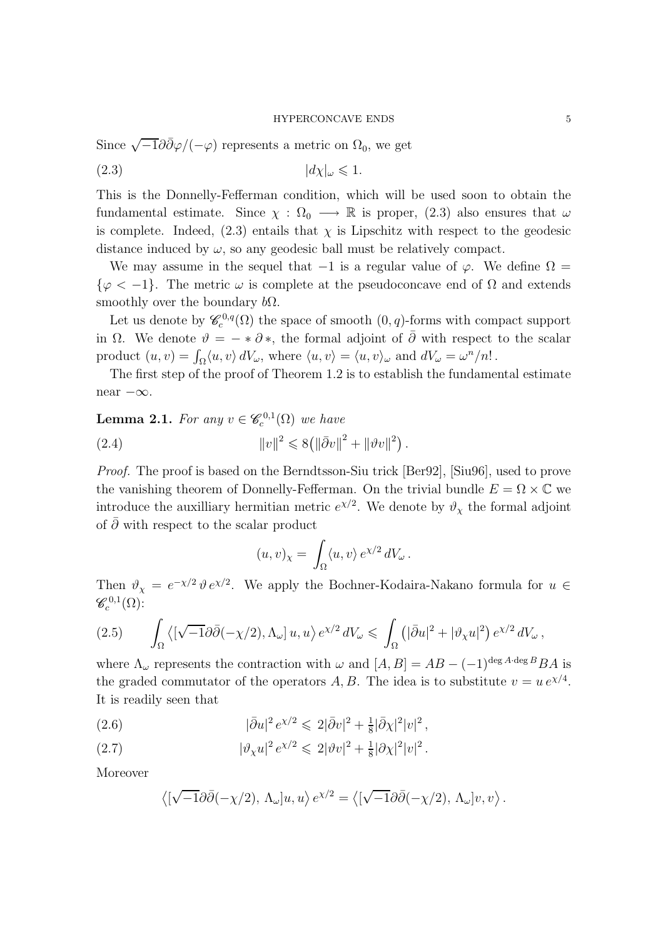Since 
$$
\sqrt{-1}\partial\bar{\partial}\varphi/(-\varphi)
$$
 represents a metric on  $\Omega_0$ , we get

$$
(2.3) \t\t |d\chi|_{\omega} \leq 1.
$$

This is the Donnelly-Fefferman condition, which will be used soon to obtain the fundamental estimate. Since  $\chi : \Omega_0 \longrightarrow \mathbb{R}$  is proper, (2.3) also ensures that  $\omega$ is complete. Indeed,  $(2.3)$  entails that  $\chi$  is Lipschitz with respect to the geodesic distance induced by  $\omega$ , so any geodesic ball must be relatively compact.

We may assume in the sequel that  $-1$  is a regular value of  $\varphi$ . We define  $\Omega =$  $\{\varphi < -1\}$ . The metric  $\omega$  is complete at the pseudoconcave end of  $\Omega$  and extends smoothly over the boundary  $b\Omega$ .

Let us denote by  $\mathscr{C}_c^{0,q}(\Omega)$  the space of smooth  $(0,q)$ -forms with compact support in  $\Omega$ . We denote  $\vartheta = - * \partial *$ , the formal adjoint of  $\overline{\partial}$  with respect to the scalar product  $(u, v) = \int_{\Omega} \langle u, v \rangle dV_{\omega}$ , where  $\langle u, v \rangle = \langle u, v \rangle_{\omega}$  and  $dV_{\omega} = \omega^n/n!$ .

The first step of the proof of Theorem 1.2 is to establish the fundamental estimate near −∞.

**Lemma 2.1.** For any  $v \in \mathscr{C}_c^{0,1}(\Omega)$  we have

(2.4) 
$$
||v||^2 \le 8(||\bar{\partial}v||^2 + ||\vartheta v||^2).
$$

Proof. The proof is based on the Berndtsson-Siu trick [Ber92], [Siu96], used to prove the vanishing theorem of Donnelly-Fefferman. On the trivial bundle  $E = \Omega \times \mathbb{C}$  we introduce the auxilliary hermitian metric  $e^{\chi/2}$ . We denote by  $\vartheta_{\chi}$  the formal adjoint of  $\bar{\partial}$  with respect to the scalar product

$$
(u,v)_x = \int_{\Omega} \langle u, v \rangle e^{\chi/2} dV_{\omega}.
$$

Then  $\vartheta_{\chi} = e^{-\chi/2} \vartheta e^{\chi/2}$ . We apply the Bochner-Kodaira-Nakano formula for  $u \in$  $\mathscr{C}^{0,1}_{c}(\Omega)$ :

$$
(2.5) \qquad \int_{\Omega} \left\langle \left[ \sqrt{-1} \partial \bar{\partial} (-\chi/2), \Lambda_{\omega} \right] u, u \right\rangle e^{\chi/2} \, dV_{\omega} \leq \int_{\Omega} \left( |\bar{\partial} u|^2 + |\vartheta_{\chi} u|^2 \right) e^{\chi/2} \, dV_{\omega} \, ,
$$

where  $\Lambda_{\omega}$  represents the contraction with  $\omega$  and  $[A, B] = AB - (-1)^{\deg A \cdot \deg B} BA$  is the graded commutator of the operators A, B. The idea is to substitute  $v = u e^{\chi/4}$ . It is readily seen that

(2.6) 
$$
|\bar{\partial}u|^2 e^{\chi/2} \leq 2|\bar{\partial}v|^2 + \frac{1}{8}|\bar{\partial}\chi|^2|v|^2,
$$

(2.7) 
$$
|\vartheta_{\chi} u|^2 e^{\chi/2} \leq 2|\vartheta v|^2 + \frac{1}{8}|\partial \chi|^2 |v|^2.
$$

Moreover

$$
\left\langle \left[ \sqrt{-1} \partial \bar{\partial} (-\chi/2), \, \Lambda_{\omega} \right] u, u \right\rangle e^{\chi/2} = \left\langle \left[ \sqrt{-1} \partial \bar{\partial} (-\chi/2), \, \Lambda_{\omega} \right] v, v \right\rangle.
$$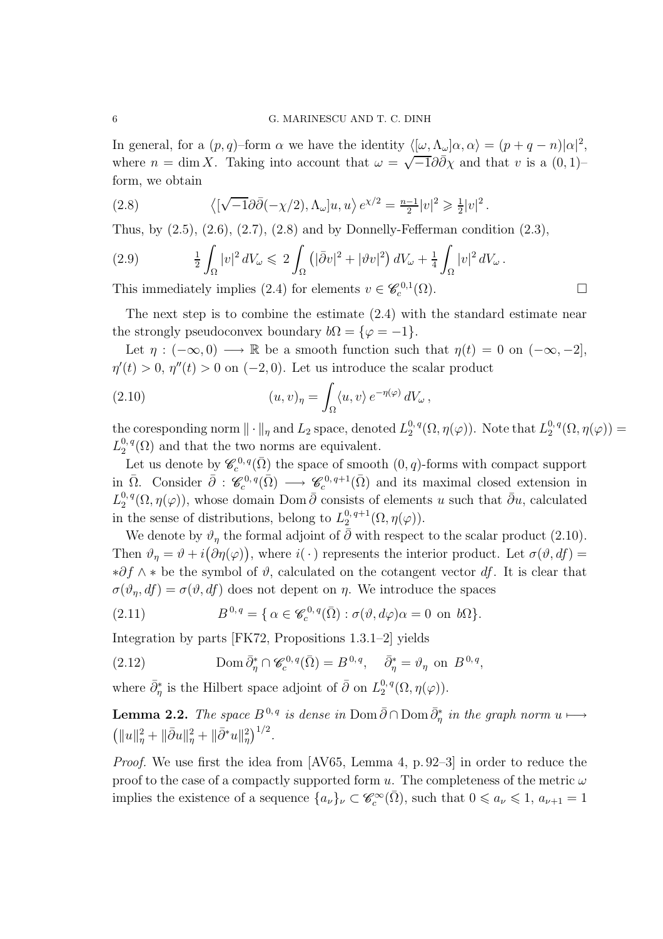In general, for a  $(p, q)$ -form  $\alpha$  we have the identity  $\langle [\omega, \Lambda_{\omega}] \alpha, \alpha \rangle = (p + q - n) |\alpha|^2$ , where  $n = \dim X$ . Taking into account that  $\omega = \sqrt{-1}\partial \overline{\partial} \overline{\partial} \overline{\partial} \overline{\partial}$  and that v is a  $(0, 1)$ form, we obtain

(2.8) 
$$
\langle \left[ \sqrt{-1} \partial \overline{\partial} (-\chi/2), \Lambda_{\omega} \right] u, u \rangle e^{\chi/2} = \frac{n-1}{2} |v|^2 \geq \frac{1}{2} |v|^2.
$$

Thus, by  $(2.5)$ ,  $(2.6)$ ,  $(2.7)$ ,  $(2.8)$  and by Donnelly-Fefferman condition  $(2.3)$ ,

$$
(2.9) \qquad \frac{1}{2} \int_{\Omega} |v|^2 dV_{\omega} \leqslant 2 \int_{\Omega} \left( |\bar{\partial}v|^2 + |\vartheta v|^2 \right) dV_{\omega} + \frac{1}{4} \int_{\Omega} |v|^2 dV_{\omega}.
$$

This immediately implies (2.4) for elements  $v \in \mathcal{C}_c^{0,1}(\Omega)$ .

The next step is to combine the estimate (2.4) with the standard estimate near the strongly pseudoconvex boundary  $b\Omega = {\varphi = -1}.$ 

Let  $\eta : (-\infty, 0) \longrightarrow \mathbb{R}$  be a smooth function such that  $\eta(t) = 0$  on  $(-\infty, -2]$ ,  $\eta'(t) > 0$ ,  $\eta''(t) > 0$  on  $(-2, 0)$ . Let us introduce the scalar product

(2.10) 
$$
(u,v)_{\eta} = \int_{\Omega} \langle u,v \rangle e^{-\eta(\varphi)} dV_{\omega},
$$

the coresponding norm  $\|\cdot\|_{\eta}$  and  $L_2$  space, denoted  $L_2^{0,q}$  $_{2}^{0,\,q}(\Omega,\eta(\varphi))$ . Note that  $L_{2}^{0,\,q}$  $\Omega^{0,\,q}_2(\Omega,\eta(\varphi))=$  $L^{0,\,q}_2$  $2^{0,q}(\Omega)$  and that the two norms are equivalent.

Let us denote by  $\mathscr{C}_c^{0,q}(\bar{\Omega})$  the space of smooth  $(0,q)$ -forms with compact support in  $\overline{\Omega}$ . Consider  $\overline{\partial}$  :  $\mathscr{C}_c^{0,q}(\overline{\Omega}) \longrightarrow \mathscr{C}_c^{0,q+1}(\overline{\Omega})$  and its maximal closed extension in  $L^{0,\,q}_2$  $2^{0, q}(\Omega, \eta(\varphi))$ , whose domain Dom  $\bar{\partial}$  consists of elements u such that  $\bar{\partial}u$ , calculated in the sense of distributions, belong to  $L_2^{0,q+1}$  $2^{\alpha, q+1}(\Omega, \eta(\varphi)).$ 

We denote by  $\vartheta_{\eta}$  the formal adjoint of  $\bar{\partial}$  with respect to the scalar product (2.10). Then  $\vartheta_{\eta} = \vartheta + i(\partial \eta(\varphi))$ , where  $i(\cdot)$  represents the interior product. Let  $\sigma(\vartheta, df) =$  $*∂f \wedge *$  be the symbol of  $\vartheta$ , calculated on the cotangent vector df. It is clear that  $\sigma(\vartheta_{\eta}, df) = \sigma(\vartheta, df)$  does not depent on  $\eta$ . We introduce the spaces

(2.11) 
$$
B^{0,q} = \{ \alpha \in \mathscr{C}_c^{0,q}(\overline{\Omega}) : \sigma(\vartheta, d\varphi)\alpha = 0 \text{ on } b\Omega \}.
$$

Integration by parts [FK72, Propositions 1.3.1–2] yields

(2.12) 
$$
\text{Dom }\bar{\partial}_{\eta}^* \cap \mathscr{C}_c^{0,q}(\bar{\Omega}) = B^{0,q}, \quad \bar{\partial}_{\eta}^* = \vartheta_{\eta} \text{ on } B^{0,q},
$$

where  $\bar{\partial}_{\eta}^*$  is the Hilbert space adjoint of  $\bar{\partial}$  on  $L_2^{0,q}$  $2^{\mathsf{U},\,q}(\Omega,\eta(\varphi)).$ 

**Lemma 2.2.** The space  $B^{0,q}$  is dense in Dom  $\bar{\partial} \cap \text{Dom } \bar{\partial}_{\eta}^{*}$  in the graph norm  $u \mapsto (\|u\|^{2} + \|\bar{\partial}u\|^{2} + \|\bar{\partial}^{*}u\|^{2})^{1/2}$ .  $||u||^2_{\eta} + ||\bar{\partial}u||^2_{\eta} + ||\bar{\partial}^*u||^2_{\eta} \big)^{1/2}.$ 

Proof. We use first the idea from [AV65, Lemma 4, p. 92–3] in order to reduce the proof to the case of a compactly supported form u. The completeness of the metric  $\omega$ implies the existence of a sequence  $\{a_{\nu}\}_{\nu} \subset \mathscr{C}_{c}^{\infty}(\bar{\Omega})$ , such that  $0 \leq a_{\nu} \leq 1$ ,  $a_{\nu+1} = 1$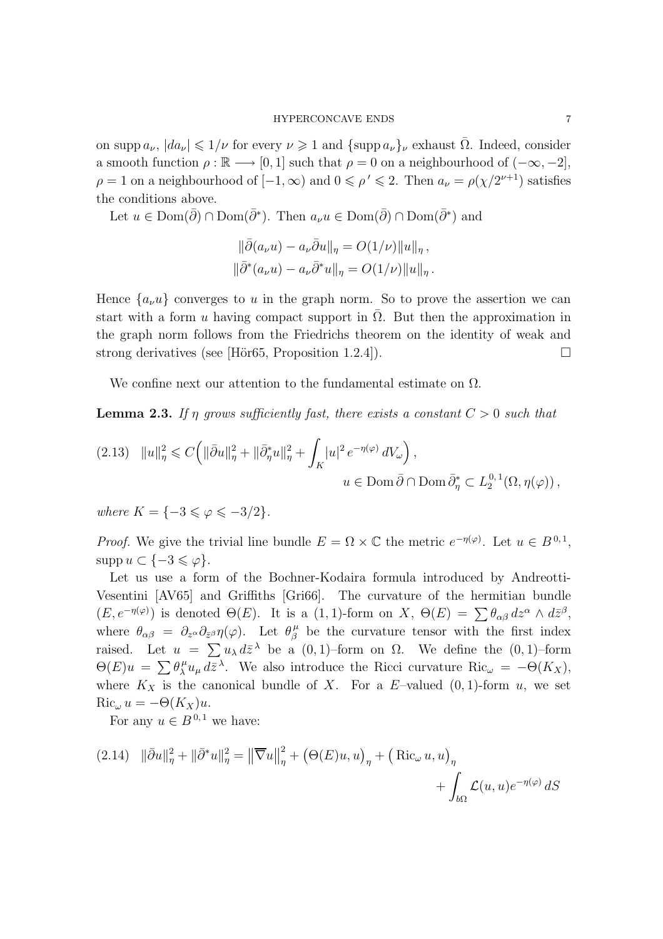on supp  $a_{\nu}$ ,  $|da_{\nu}| \leq 1/\nu$  for every  $\nu \geq 1$  and  $\{\text{supp }a_{\nu}\}_{\nu}$  exhaust  $\overline{\Omega}$ . Indeed, consider a smooth function  $\rho : \mathbb{R} \longrightarrow [0, 1]$  such that  $\rho = 0$  on a neighbourhood of  $(-\infty, -2]$ ,  $\rho = 1$  on a neighbourhood of  $[-1, \infty)$  and  $0 \le \rho' \le 2$ . Then  $a_{\nu} = \rho(\chi/2^{\nu+1})$  satisfies the conditions above.

Let  $u \in \text{Dom}(\bar{\partial}) \cap \text{Dom}(\bar{\partial}^*)$ . Then  $a_{\nu}u \in \text{Dom}(\bar{\partial}) \cap \text{Dom}(\bar{\partial}^*)$  and

$$
\|\bar{\partial}(a_{\nu}u) - a_{\nu}\bar{\partial}u\|_{\eta} = O(1/\nu) \|u\|_{\eta},
$$
  

$$
\|\bar{\partial}^*(a_{\nu}u) - a_{\nu}\bar{\partial}^*u\|_{\eta} = O(1/\nu) \|u\|_{\eta}.
$$

Hence  $\{a_{\nu}u\}$  converges to u in the graph norm. So to prove the assertion we can start with a form u having compact support in  $\Omega$ . But then the approximation in the graph norm follows from the Friedrichs theorem on the identity of weak and strong derivatives (see [Hör65, Proposition 1.2.4]).

We confine next our attention to the fundamental estimate on  $\Omega$ .

**Lemma 2.3.** If  $\eta$  grows sufficiently fast, there exists a constant  $C > 0$  such that

$$
\begin{array}{ll} (2.13) & \Vert u\Vert_{\eta}^2\leqslant C\Big(\Vert\bar{\partial}u\Vert_{\eta}^2+\Vert\bar{\partial}_{\eta}^*u\Vert_{\eta}^2+\displaystyle\int_K |u|^2\,e^{-\eta(\varphi)}\,dV_{\omega}\Big)\,,\\ &\qquad \qquad u\in \operatorname*{Dom}\bar{\partial}\cap\operatorname*{Dom}\bar{\partial}_{\eta}^*\subset L_2^{0,1}(\Omega,\eta(\varphi))\,, \end{array}
$$

where  $K = \{-3 \leq \varphi \leq -3/2\}.$ 

*Proof.* We give the trivial line bundle  $E = \Omega \times \mathbb{C}$  the metric  $e^{-\eta(\varphi)}$ . Let  $u \in B^{0,1}$ ,  $\text{supp } u \subset \{-3 \leqslant \varphi\}.$ 

Let us use a form of the Bochner-Kodaira formula introduced by Andreotti-Vesentini [AV65] and Griffiths [Gri66]. The curvature of the hermitian bundle  $(E, e^{-\eta(\varphi)})$  is denoted  $\Theta(E)$ . It is a  $(1, 1)$ -form on X,  $\Theta(E) = \sum \theta_{\alpha\beta} dz^{\alpha} \wedge d\bar{z}^{\beta}$ , where  $\theta_{\alpha\beta} = \partial_{z^{\alpha}} \partial_{\bar{z}^{\beta}} \eta(\varphi)$ . Let  $\theta^{\mu}_{\beta}$  $\frac{\mu}{\beta}$  be the curvature tensor with the first index raised. Let  $u = \sum u_{\lambda} d\bar{z}^{\lambda}$  be a  $(0, 1)$ -form on  $\Omega$ . We define the  $(0, 1)$ -form  $\Theta(E)u = \sum \theta_{\lambda}^{\mu}$  $\int_{\lambda}^{\mu} u_{\mu} d\bar{z}^{\lambda}$ . We also introduce the Ricci curvature Ric<sub> $\omega = -\Theta(K_X)$ ,</sub> where  $K_X$  is the canonical bundle of X. For a E-valued  $(0, 1)$ -form u, we set  $Ric_{\omega} u = -\Theta(K_X)u.$ 

For any  $u \in B^{0,1}$  we have:

(2.14) 
$$
\|\bar{\partial}u\|_{\eta}^{2} + \|\bar{\partial}^{*}u\|_{\eta}^{2} = \left\|\overline{\nabla}u\right\|_{\eta}^{2} + \left(\Theta(E)u, u\right)_{\eta} + \left(\text{Ric}_{\omega}u, u\right)_{\eta} + \int_{b\Omega} \mathcal{L}(u, u)e^{-\eta(\varphi)} dS
$$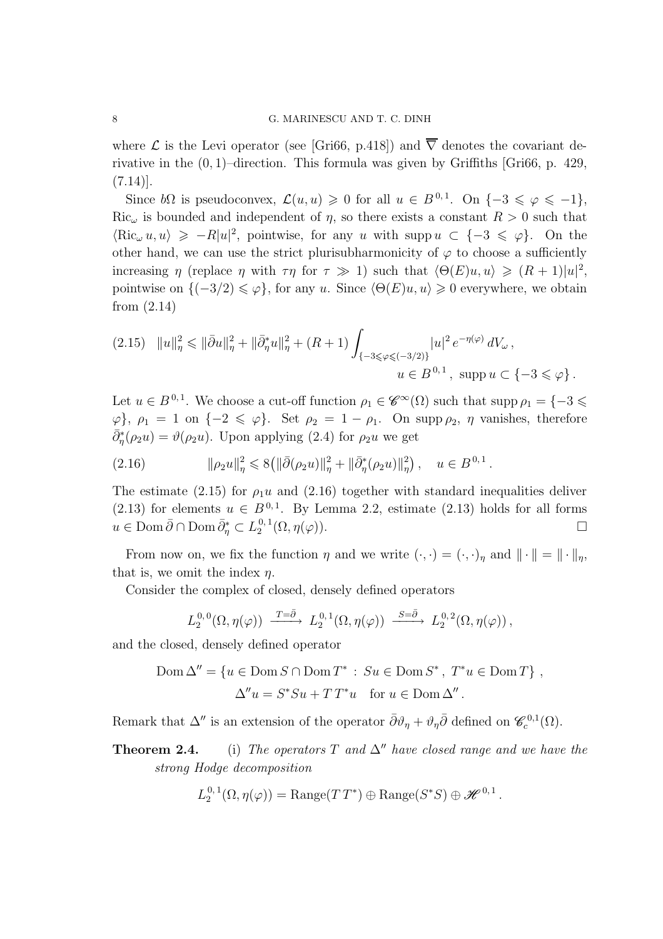where  $\mathcal L$  is the Levi operator (see [Gri66, p.418]) and  $\overline{\nabla}$  denotes the covariant derivative in the  $(0, 1)$ –direction. This formula was given by Griffiths [Gri66, p. 429,  $(7.14)$ ].

Since  $b\Omega$  is pseudoconvex,  $\mathcal{L}(u, u) \geq 0$  for all  $u \in B^{0,1}$ . On  $\{-3 \leq \varphi \leq -1\}$ , Ric<sub> $\omega$ </sub> is bounded and independent of  $\eta$ , so there exists a constant  $R > 0$  such that  $\langle \text{Ric}_{\omega} u, u \rangle \ge -R|u|^2$ , pointwise, for any u with supp  $u \subset \{-3 \leq \varphi\}$ . On the other hand, we can use the strict plurisubharmonicity of  $\varphi$  to choose a sufficiently increasing  $\eta$  (replace  $\eta$  with  $\tau\eta$  for  $\tau \gg 1$ ) such that  $\langle \Theta(E)u, u \rangle \geq (R+1)|u|^2$ , pointwise on  $\{(-3/2) \leq \varphi\}$ , for any u. Since  $\langle \Theta(E)u, u \rangle \geq 0$  everywhere, we obtain from (2.14)

$$
(2.15) \quad ||u||_{\eta}^{2} \leq ||\bar{\partial}u||_{\eta}^{2} + ||\bar{\partial}_{\eta}^{*}u||_{\eta}^{2} + (R+1) \int_{\{-3\leq \varphi \leq (-3/2)\}} |u|^{2} e^{-\eta(\varphi)} dV_{\omega},
$$
  

$$
u \in B^{0,1}, \text{ supp } u \subset \{-3 \leq \varphi\}.
$$

Let  $u \in B^{0,1}$ . We choose a cut-off function  $\rho_1 \in \mathscr{C}^{\infty}(\Omega)$  such that supp  $\rho_1 = \{-3 \leq \Omega\}$  $\varphi$ ,  $\rho_1 = 1$  on  $\{-2 \leq \varphi\}$ . Set  $\rho_2 = 1 - \rho_1$ . On supp  $\rho_2$ ,  $\eta$  vanishes, therefore  $\bar{\partial}_{\eta}^{*}(\rho_2 u) = \vartheta(\rho_2 u)$ . Upon applying (2.4) for  $\rho_2 u$  we get

$$
(2.16) \t\t ||\rho_2 u||^2_{\eta} \leq 8(||\bar{\partial}(\rho_2 u)||^2_{\eta} + ||\bar{\partial}^*_{\eta}(\rho_2 u)||^2_{\eta}), \quad u \in B^{0,1}.
$$

The estimate (2.15) for  $\rho_1u$  and (2.16) together with standard inequalities deliver (2.13) for elements  $u \in B^{0,1}$ . By Lemma 2.2, estimate (2.13) holds for all forms  $u \in \text{Dom }\bar{\partial} \cap \text{Dom }\bar{\partial}_{\eta}^* \subset L_2^{0,1}$  $2^{0,1}(\Omega,\eta(\varphi)).$ 

From now on, we fix the function  $\eta$  and we write  $(\cdot, \cdot) = (\cdot, \cdot)_{\eta}$  and  $\|\cdot\| = \|\cdot\|_{\eta}$ , that is, we omit the index  $\eta$ .

Consider the complex of closed, densely defined operators

$$
L_2^{0,0}(\Omega,\eta(\varphi)) \xrightarrow{T=\bar{\partial}} L_2^{0,1}(\Omega,\eta(\varphi)) \xrightarrow{S=\bar{\partial}} L_2^{0,2}(\Omega,\eta(\varphi)),
$$

and the closed, densely defined operator

$$
\text{Dom }\Delta'' = \{ u \in \text{Dom } S \cap \text{Dom } T^* : S u \in \text{Dom } S^*, T^* u \in \text{Dom } T \},
$$
  

$$
\Delta'' u = S^* S u + T T^* u \quad \text{for } u \in \text{Dom } \Delta''.
$$

Remark that  $\Delta''$  is an extension of the operator  $\bar{\partial}\vartheta_{\eta} + \vartheta_{\eta}\bar{\partial}$  defined on  $\mathscr{C}_c^{0,1}(\Omega)$ .

**Theorem 2.4.** (i) The operators T and  $\Delta''$  have closed range and we have the strong Hodge decomposition

$$
L_2^{0,1}(\Omega,\eta(\varphi)) = \text{Range}(TT^*) \oplus \text{Range}(S^*S) \oplus \mathscr{H}^{0,1}.
$$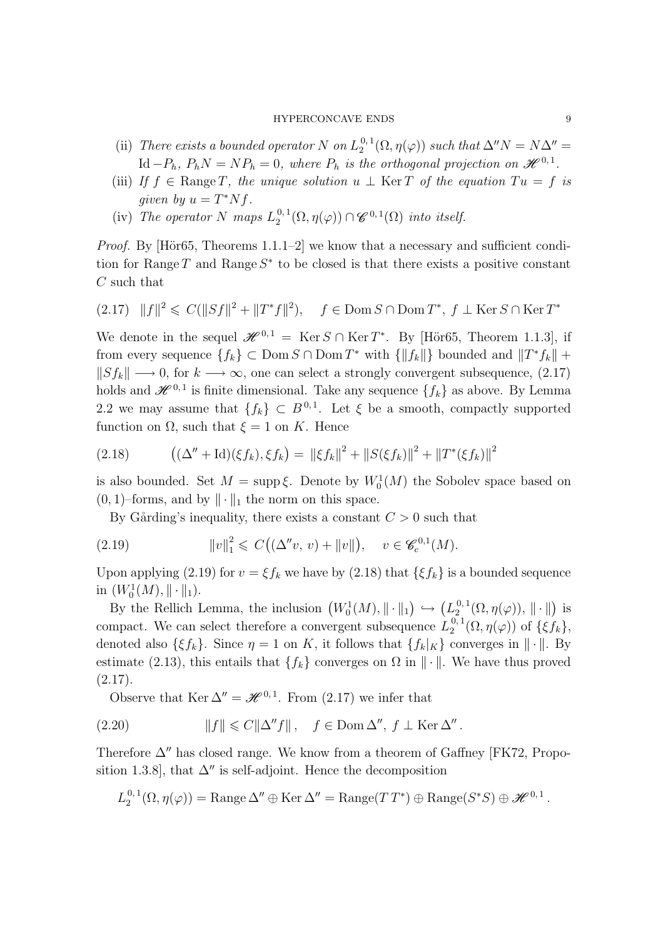- (ii) There exists a bounded operator N on  $L_2^{0,1}$  $2^{0,1}_{2}(\Omega, \eta(\varphi))$  such that  $\Delta''N = N\Delta'' =$  $\mathrm{Id} - P_h$ ,  $P_h N = N P_h = 0$ , where  $P_h$  is the orthogonal projection on  $\mathscr{H}^{0,1}$ .
- (iii) If  $f \in \text{Range } T$ , the unique solution  $u \perp \text{Ker } T$  of the equation  $Tu = f$  is given by  $u = T^* N f$ .
- (iv) The operator N maps  $L_2^{0,1}$  $\mathcal{L}_2^{0,1}(\Omega,\eta(\varphi)) \cap \mathscr{C}^{0,1}(\Omega)$  into itself.

*Proof.* By [Hör65, Theorems  $1.1.1-2$ ] we know that a necessary and sufficient condition for Range  $T$  and Range  $S^*$  to be closed is that there exists a positive constant C such that

$$
(2.17) \quad ||f||^2 \leq C(||Sf||^2 + ||T^*f||^2), \quad f \in \text{Dom } S \cap \text{Dom } T^*, \ f \perp \text{Ker } S \cap \text{Ker } T^*
$$

We denote in the sequel  $\mathscr{H}^{0,1} = \text{Ker } S \cap \text{Ker } T^*$ . By [Hör65, Theorem 1.1.3], if from every sequence  $\{f_k\} \subset \text{Dom } S \cap \text{Dom } T^*$  with  $\{\|f_k\|\}$  bounded and  $\|T^*f_k\| +$  $||Sf_k|| \longrightarrow 0$ , for  $k \longrightarrow \infty$ , one can select a strongly convergent subsequence, (2.17) holds and  $\mathscr{H}^{0,1}$  is finite dimensional. Take any sequence  $\{f_k\}$  as above. By Lemma 2.2 we may assume that  $\{f_k\} \subset B^{0,1}$ . Let  $\xi$  be a smooth, compactly supported function on  $\Omega$ , such that  $\xi = 1$  on K. Hence

(2.18) 
$$
((\Delta'' + \mathrm{Id})(\xi f_k), \xi f_k) = ||\xi f_k||^2 + ||S(\xi f_k)||^2 + ||T^*(\xi f_k)||^2
$$

is also bounded. Set  $M = \text{supp }\xi$ . Denote by  $W_0^1(M)$  the Sobolev space based on  $(0, 1)$ –forms, and by  $\|\cdot\|_1$  the norm on this space.

By Gårding's inequality, there exists a constant  $C > 0$  such that

(2.19) 
$$
||v||_1^2 \leq C((\Delta''v, v) + ||v||), \quad v \in \mathscr{C}_c^{0,1}(M).
$$

Upon applying (2.19) for  $v = \xi f_k$  we have by (2.18) that  $\{\xi f_k\}$  is a bounded sequence in  $(W_0^1(M), \|\cdot\|_1)$ .

By the Rellich Lemma, the inclusion  $(W_0^1(M), \|\cdot\|_1) \hookrightarrow (L_2^{0,1})$  $\mathcal{L}^{0,1}_{2}(\Omega,\eta(\varphi)),\|\cdot\|)$  is compact. We can select therefore a convergent subsequence  $L_2^{0,1}$  $_{2}^{\mathbf{0},\mathbf{1}}(\Omega,\eta(\varphi))$  of  $\{\xi f_{k}\},\$ denoted also  $\{\xi f_k\}$ . Since  $\eta = 1$  on K, it follows that  $\{f_k|_K\}$  converges in  $\|\cdot\|$ . By estimate (2.13), this entails that  $\{f_k\}$  converges on  $\Omega$  in  $\|\cdot\|$ . We have thus proved  $(2.17).$ 

Observe that Ker  $\Delta'' = \mathcal{H}^{0,1}$ . From (2.17) we infer that

(2.20) 
$$
||f|| \leq C||\Delta''f||, \quad f \in \text{Dom }\Delta'', \ f \perp \text{Ker }\Delta''.
$$

Therefore  $\Delta$ <sup>*n*</sup> has closed range. We know from a theorem of Gaffney [FK72, Proposition 1.3.8], that  $\Delta''$  is self-adjoint. Hence the decomposition

$$
L_2^{0,1}(\Omega,\eta(\varphi)) = \text{Range }\Delta'' \oplus \text{Ker }\Delta'' = \text{Range}(TT^*) \oplus \text{Range}(S^*S) \oplus \mathscr{H}^{0,1}.
$$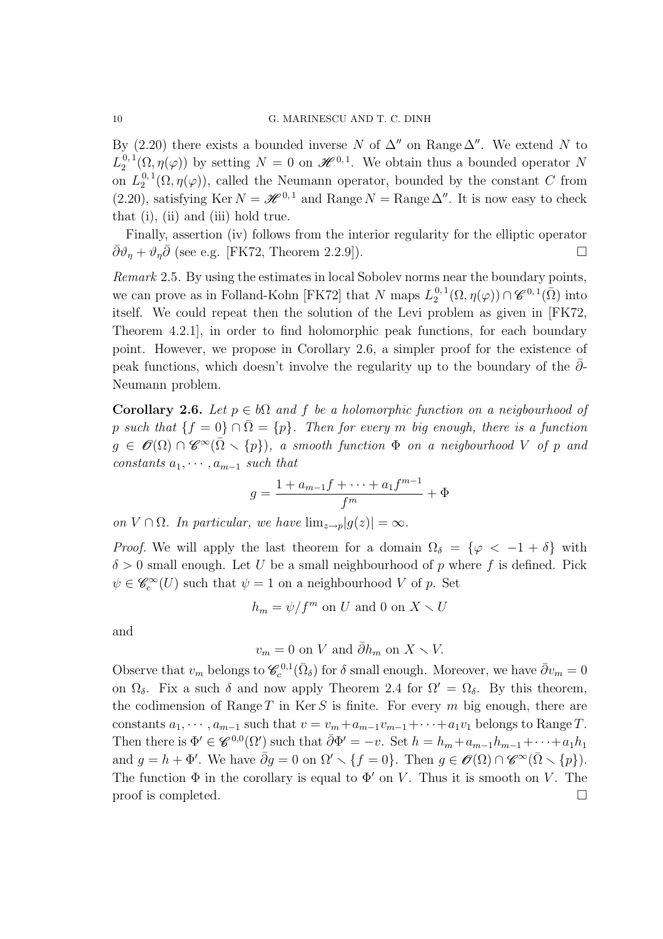By (2.20) there exists a bounded inverse N of  $\Delta''$  on Range  $\Delta''$ . We extend N to  $L_{2}^{\,0,\,1}$  $2^{0,1}(\Omega,\eta(\varphi))$  by setting  $N=0$  on  $\mathscr{H}^{0,1}$ . We obtain thus a bounded operator N on  $L_2^{0,\,1}$  $2^{0,1}(\Omega,\eta(\varphi))$ , called the Neumann operator, bounded by the constant C from (2.20), satisfying Ker  $N = \mathcal{H}^{0,1}$  and Range  $N = \text{Range }\Delta^n$ . It is now easy to check that (i), (ii) and (iii) hold true.

Finally, assertion (iv) follows from the interior regularity for the elliptic operator  $\bar{\partial}\vartheta_{\eta} + \vartheta_{\eta}\bar{\partial}$  (see e.g. [FK72, Theorem 2.2.9]).

Remark 2.5. By using the estimates in local Sobolev norms near the boundary points, we can prove as in Folland-Kohn [FK72] that N maps  $L_2^{0,1}$  $_2^{0,1}(\Omega,\eta(\varphi)) \cap \mathscr{C}^{0,1}(\bar{\Omega})$  into itself. We could repeat then the solution of the Levi problem as given in [FK72, Theorem 4.2.1], in order to find holomorphic peak functions, for each boundary point. However, we propose in Corollary 2.6, a simpler proof for the existence of peak functions, which doesn't involve the regularity up to the boundary of the  $\partial$ -Neumann problem.

Corollary 2.6. Let  $p \in b\Omega$  and f be a holomorphic function on a neigbourhood of p such that  $\{f = 0\} \cap \overline{\Omega} = \{p\}$ . Then for every m big enough, there is a function  $g \in \mathscr{O}(\Omega) \cap \mathscr{C}^{\infty}(\bar{\Omega} \setminus \{p\}),\ a\ smooth\ function\ \Phi\ \ on\ a\ neighborhood\ V\ \ of\ p\ \ and\$ constants  $a_1, \cdots, a_{m-1}$  such that

$$
g = \frac{1 + a_{m-1}f + \dots + a_1f^{m-1}}{f^m} + \Phi
$$

on  $V \cap \Omega$ . In particular, we have  $\lim_{z \to p} |g(z)| = \infty$ .

*Proof.* We will apply the last theorem for a domain  $\Omega_{\delta} = {\varphi < -1 + \delta}$  with  $\delta > 0$  small enough. Let U be a small neighbourhood of p where f is defined. Pick  $\psi \in \mathscr{C}_c^{\infty}(U)$  such that  $\psi = 1$  on a neighbourhood V of p. Set

$$
h_m = \psi/f^m
$$
 on  $U$  and  $0$  on  $X \setminus U$ 

and

$$
v_m = 0
$$
 on V and  $\bar{\partial}h_m$  on  $X \setminus V$ .

Observe that  $v_m$  belongs to  $\mathscr{C}_c^{0,1}(\bar{\Omega}_\delta)$  for  $\delta$  small enough. Moreover, we have  $\bar{\partial}v_m = 0$ on  $\Omega_{\delta}$ . Fix a such  $\delta$  and now apply Theorem 2.4 for  $\Omega' = \Omega_{\delta}$ . By this theorem, the codimension of Range  $T$  in Ker  $S$  is finite. For every  $m$  big enough, there are constants  $a_1, \dots, a_{m-1}$  such that  $v = v_m + a_{m-1}v_{m-1} + \dots + a_1v_1$  belongs to Range T. Then there is  $\Phi' \in \mathscr{C}^{0,0}(\Omega')$  such that  $\bar{\partial}\Phi' = -v$ . Set  $h = h_m + a_{m-1}h_{m-1} + \cdots + a_1h_1$ and  $g = h + \Phi'$ . We have  $\bar{\partial}g = 0$  on  $\Omega' \setminus \{f = 0\}$ . Then  $g \in \mathscr{O}(\Omega) \cap \mathscr{C}^{\infty}(\bar{\Omega} \setminus \{p\})$ . The function  $\Phi$  in the corollary is equal to  $\Phi'$  on V. Thus it is smooth on V. The  $\Box$  proof is completed.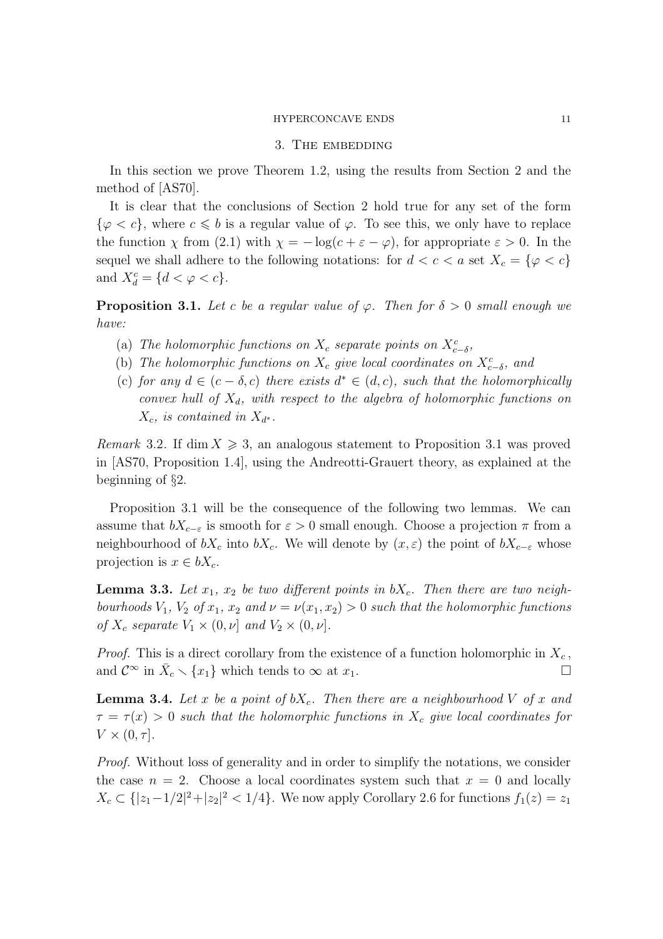#### 3. THE EMBEDDING

In this section we prove Theorem 1.2, using the results from Section 2 and the method of [AS70].

It is clear that the conclusions of Section 2 hold true for any set of the form  $\{\varphi < c\}$ , where  $c \leqslant b$  is a regular value of  $\varphi$ . To see this, we only have to replace the function  $\chi$  from (2.1) with  $\chi = -\log(c + \varepsilon - \varphi)$ , for appropriate  $\varepsilon > 0$ . In the sequel we shall adhere to the following notations: for  $d < c < a$  set  $X_c = \{ \varphi < c \}$ and  $X_d^c = \{ d < \varphi < c \}.$ 

**Proposition 3.1.** Let c be a regular value of  $\varphi$ . Then for  $\delta > 0$  small enough we have:

- (a) The holomorphic functions on  $X_c$  separate points on  $X_{c-\delta}^c$ ,
- (b) The holomorphic functions on  $X_c$  give local coordinates on  $X_{c-δ}^c$ , and
- (c) for any  $d \in (c \delta, c)$  there exists  $d^* \in (d, c)$ , such that the holomorphically convex hull of  $X_d$ , with respect to the algebra of holomorphic functions on  $X_c$ , is contained in  $X_{d^*}$ .

Remark 3.2. If dim  $X \ge 3$ , an analogous statement to Proposition 3.1 was proved in [AS70, Proposition 1.4], using the Andreotti-Grauert theory, as explained at the beginning of §2.

Proposition 3.1 will be the consequence of the following two lemmas. We can assume that  $bX_{c-\varepsilon}$  is smooth for  $\varepsilon > 0$  small enough. Choose a projection  $\pi$  from a neighbourhood of  $bX_c$  into  $bX_c$ . We will denote by  $(x, \varepsilon)$  the point of  $bX_{c-\varepsilon}$  whose projection is  $x \in bX_c$ .

**Lemma 3.3.** Let  $x_1$ ,  $x_2$  be two different points in  $bX_c$ . Then there are two neighbourhoods  $V_1$ ,  $V_2$  of  $x_1$ ,  $x_2$  and  $\nu = \nu(x_1, x_2) > 0$  such that the holomorphic functions of  $X_c$  separate  $V_1 \times (0, \nu]$  and  $V_2 \times (0, \nu]$ .

*Proof.* This is a direct corollary from the existence of a function holomorphic in  $X_c$ , and  $\mathcal{C}^{\infty}$  in  $\bar{X}_c \setminus \{x_1\}$  which tends to  $\infty$  at  $x_1$ .

**Lemma 3.4.** Let x be a point of  $bX_c$ . Then there are a neighbourhood V of x and  $\tau = \tau(x) > 0$  such that the holomorphic functions in  $X_c$  give local coordinates for  $V \times (0, \tau].$ 

Proof. Without loss of generality and in order to simplify the notations, we consider the case  $n = 2$ . Choose a local coordinates system such that  $x = 0$  and locally  $X_c \subset \{ |z_1 - 1/2|^2 + |z_2|^2 < 1/4 \}$ . We now apply Corollary 2.6 for functions  $f_1(z) = z_1$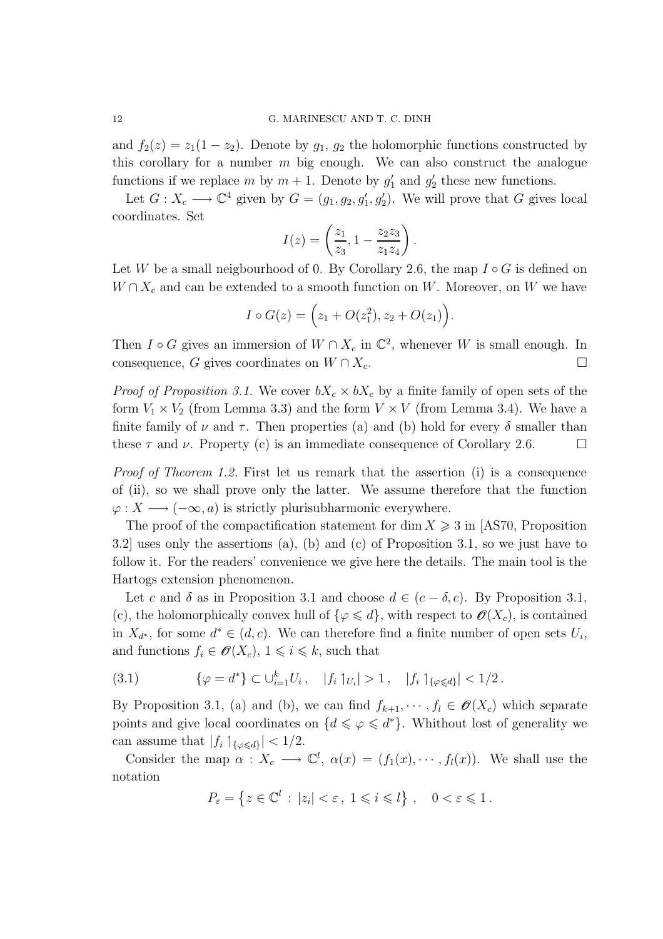and  $f_2(z) = z_1(1 - z_2)$ . Denote by  $g_1, g_2$  the holomorphic functions constructed by this corollary for a number  $m$  big enough. We can also construct the analogue functions if we replace m by  $m + 1$ . Denote by  $g'_1$  and  $g'_2$  these new functions.

Let  $G: X_c \longrightarrow \mathbb{C}^4$  given by  $G = (g_1, g_2, g'_1, g'_2)$ . We will prove that G gives local coordinates. Set

$$
I(z) = \left(\frac{z_1}{z_3}, 1 - \frac{z_2 z_3}{z_1 z_4}\right).
$$

Let W be a small neigbourhood of 0. By Corollary 2.6, the map  $I \circ G$  is defined on  $W \cap X_c$  and can be extended to a smooth function on W. Moreover, on W we have

$$
I \circ G(z) = (z_1 + O(z_1^2), z_2 + O(z_1)).
$$

Then  $I \circ G$  gives an immersion of  $W \cap X_c$  in  $\mathbb{C}^2$ , whenever W is small enough. In consequence, G gives coordinates on  $W \cap X_c$ .

*Proof of Proposition 3.1.* We cover  $bX_c \times bX_c$  by a finite family of open sets of the form  $V_1 \times V_2$  (from Lemma 3.3) and the form  $V \times V$  (from Lemma 3.4). We have a finite family of  $\nu$  and  $\tau$ . Then properties (a) and (b) hold for every  $\delta$  smaller than these  $\tau$  and  $\nu$ . Property (c) is an immediate consequence of Corollary 2.6.

Proof of Theorem 1.2. First let us remark that the assertion (i) is a consequence of (ii), so we shall prove only the latter. We assume therefore that the function  $\varphi: X \longrightarrow (-\infty, a)$  is strictly plurisubharmonic everywhere.

The proof of the compactification statement for dim  $X \geq 3$  in [AS70, Proposition] 3.2] uses only the assertions (a), (b) and (c) of Proposition 3.1, so we just have to follow it. For the readers' convenience we give here the details. The main tool is the Hartogs extension phenomenon.

Let c and  $\delta$  as in Proposition 3.1 and choose  $d \in (c - \delta, c)$ . By Proposition 3.1, (c), the holomorphically convex hull of  $\{\varphi \leq d\}$ , with respect to  $\mathscr{O}(X_c)$ , is contained in  $X_{d^*}$ , for some  $d^* \in (d, c)$ . We can therefore find a finite number of open sets  $U_i$ , and functions  $f_i \in \mathscr{O}(X_c)$ ,  $1 \leq i \leq k$ , such that

$$
(3.1) \qquad \{\varphi = d^*\} \subset \bigcup_{i=1}^k U_i, \quad |f_i|_{U_i} > 1, \quad |f_i|_{\{\varphi \leq d\}} < 1/2.
$$

By Proposition 3.1, (a) and (b), we can find  $f_{k+1}, \dots, f_l \in \mathscr{O}(X_c)$  which separate points and give local coordinates on  $\{d \leq \varphi \leq d^*\}$ . Whithout lost of generality we can assume that  $|f_i|_{\{\varphi \leq d\}}| < 1/2$ .

Consider the map  $\alpha : X_c \longrightarrow \mathbb{C}^l$ ,  $\alpha(x) = (f_1(x), \cdots, f_l(x))$ . We shall use the notation

$$
P_{\varepsilon} = \left\{ z \in \mathbb{C}^l : |z_i| < \varepsilon \,, \ 1 \leqslant i \leqslant l \right\} \,, \quad 0 < \varepsilon \leqslant 1 \,.
$$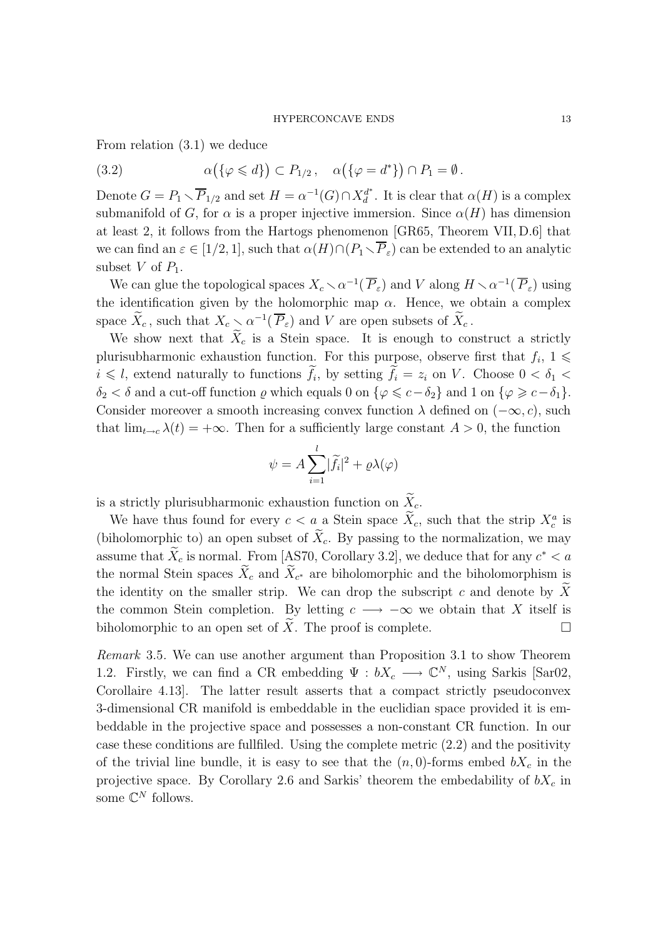From relation (3.1) we deduce

(3.2) 
$$
\alpha(\{\varphi \leq d\}) \subset P_{1/2}, \quad \alpha(\{\varphi = d^*\}) \cap P_1 = \emptyset.
$$

Denote  $G = P_1 \setminus \overline{P}_{1/2}$  and set  $H = \alpha^{-1}(G) \cap X_d^{d^*}$  $d^*_{d}$ . It is clear that  $\alpha(H)$  is a complex submanifold of G, for  $\alpha$  is a proper injective immersion. Since  $\alpha(H)$  has dimension at least 2, it follows from the Hartogs phenomenon [GR65, Theorem VII, D.6] that we can find an  $\varepsilon \in [1/2, 1]$ , such that  $\alpha(H) \cap (P_1 \setminus \overline{P}_\varepsilon)$  can be extended to an analytic subset V of  $P_1$ .

We can glue the topological spaces  $X_c \setminus \alpha^{-1}(\overline{P}_\varepsilon)$  and V along  $H \setminus \alpha^{-1}(\overline{P}_\varepsilon)$  using the identification given by the holomorphic map  $\alpha$ . Hence, we obtain a complex space  $\widetilde{X}_c$ , such that  $X_c \searrow \alpha^{-1}(\overline{P}_{\varepsilon})$  and V are open subsets of  $\widetilde{X}_c$ .

We show next that  $\widetilde{X}_c$  is a Stein space. It is enough to construct a strictly plurisubharmonic exhaustion function. For this purpose, observe first that  $f_i$ ,  $1 \leq$  $i \leq l$ , extend naturally to functions  $f_i$ , by setting  $f_i = z_i$  on V. Choose  $0 < \delta_1 <$  $\delta_2 < \delta$  and a cut-off function  $\varrho$  which equals 0 on  $\{\varphi \leqslant c - \delta_2\}$  and 1 on  $\{\varphi \geqslant c - \delta_1\}.$ Consider moreover a smooth increasing convex function  $\lambda$  defined on  $(-\infty, c)$ , such that  $\lim_{t\to c}\lambda(t) = +\infty$ . Then for a sufficiently large constant  $A > 0$ , the function

$$
\psi = A \sum_{i=1}^{l} |\widetilde{f}_i|^2 + \varrho \lambda(\varphi)
$$

is a strictly plurisubharmonic exhaustion function on  $\widetilde X_c.$ 

We have thus found for every  $c < a_{\infty}$  a Stein space  $\tilde{X}_c$ , such that the strip  $X_c^a$  is (biholomorphic to) an open subset of  $\tilde{X}_c$ . By passing to the normalization, we may assume that  $\hat{X}_c$  is normal. From [AS70, Corollary 3.2], we deduce that for any  $c^* < a$ the normal Stein spaces  $X_c$  and  $X_{c^*}$  are biholomorphic and the biholomorphism is the identity on the smaller strip. We can drop the subscript c and denote by  $\widetilde{X}$ the common Stein completion. By letting  $c \longrightarrow -\infty$  we obtain that X itself is biholomorphic to an open set of X. The proof is complete.  $\Box$ 

Remark 3.5. We can use another argument than Proposition 3.1 to show Theorem 1.2. Firstly, we can find a CR embedding  $\Psi : bX_c \longrightarrow \mathbb{C}^N$ , using Sarkis [Sar02, Corollaire 4.13]. The latter result asserts that a compact strictly pseudoconvex 3-dimensional CR manifold is embeddable in the euclidian space provided it is embeddable in the projective space and possesses a non-constant CR function. In our case these conditions are fullfiled. Using the complete metric (2.2) and the positivity of the trivial line bundle, it is easy to see that the  $(n, 0)$ -forms embed  $bX_c$  in the projective space. By Corollary 2.6 and Sarkis' theorem the embedability of  $bX_c$  in some  $\mathbb{C}^N$  follows.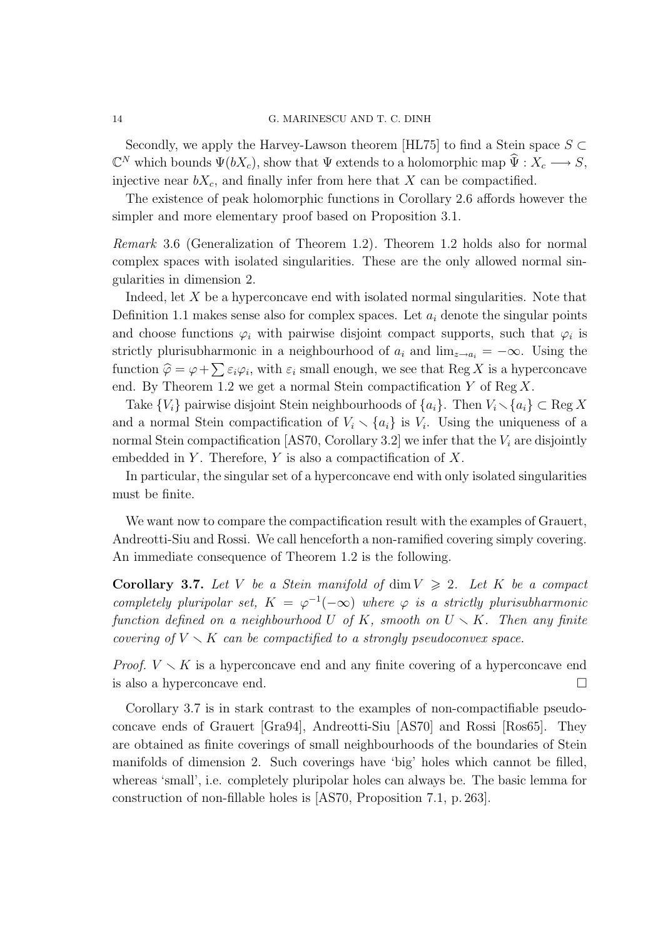Secondly, we apply the Harvey-Lawson theorem [HL75] to find a Stein space  $S \subset$  $\mathbb{C}^N$  which bounds  $\Psi(bX_c)$ , show that  $\Psi$  extends to a holomorphic map  $\widehat{\Psi}: X_c \longrightarrow S$ , injective near  $bX_c$ , and finally infer from here that X can be compactified.

The existence of peak holomorphic functions in Corollary 2.6 affords however the simpler and more elementary proof based on Proposition 3.1.

Remark 3.6 (Generalization of Theorem 1.2). Theorem 1.2 holds also for normal complex spaces with isolated singularities. These are the only allowed normal singularities in dimension 2.

Indeed, let X be a hyperconcave end with isolated normal singularities. Note that Definition 1.1 makes sense also for complex spaces. Let  $a_i$  denote the singular points and choose functions  $\varphi_i$  with pairwise disjoint compact supports, such that  $\varphi_i$  is strictly plurisubharmonic in a neighbourhood of  $a_i$  and  $\lim_{z\to a_i} = -\infty$ . Using the function  $\hat{\varphi} = \varphi + \sum \varepsilon_i \varphi_i$ , with  $\varepsilon_i$  small enough, we see that Reg X is a hyperconcave end. By Theorem 1.2 we get a normal Stein compactification  $Y$  of Reg  $X$ .

Take  $\{V_i\}$  pairwise disjoint Stein neighbourhoods of  $\{a_i\}$ . Then  $V_i \setminus \{a_i\} \subset \text{Reg } X$ and a normal Stein compactification of  $V_i \setminus \{a_i\}$  is  $V_i$ . Using the uniqueness of a normal Stein compactification [AS70, Corollary 3.2] we infer that the  $V_i$  are disjointly embedded in Y. Therefore, Y is also a compactification of  $X$ .

In particular, the singular set of a hyperconcave end with only isolated singularities must be finite.

We want now to compare the compactification result with the examples of Grauert, Andreotti-Siu and Rossi. We call henceforth a non-ramified covering simply covering. An immediate consequence of Theorem 1.2 is the following.

**Corollary 3.7.** Let V be a Stein manifold of dim  $V \ge 2$ . Let K be a compact completely pluripolar set,  $K = \varphi^{-1}(-\infty)$  where  $\varphi$  is a strictly plurisubharmonic function defined on a neighbourhood U of K, smooth on  $U \setminus K$ . Then any finite covering of  $V \setminus K$  can be compactified to a strongly pseudoconvex space.

*Proof.*  $V \setminus K$  is a hyperconcave end and any finite covering of a hyperconcave end is also a hyperconcave end.

Corollary 3.7 is in stark contrast to the examples of non-compactifiable pseudoconcave ends of Grauert [Gra94], Andreotti-Siu [AS70] and Rossi [Ros65]. They are obtained as finite coverings of small neighbourhoods of the boundaries of Stein manifolds of dimension 2. Such coverings have 'big' holes which cannot be filled, whereas 'small', i.e. completely pluripolar holes can always be. The basic lemma for construction of non-fillable holes is [AS70, Proposition 7.1, p. 263].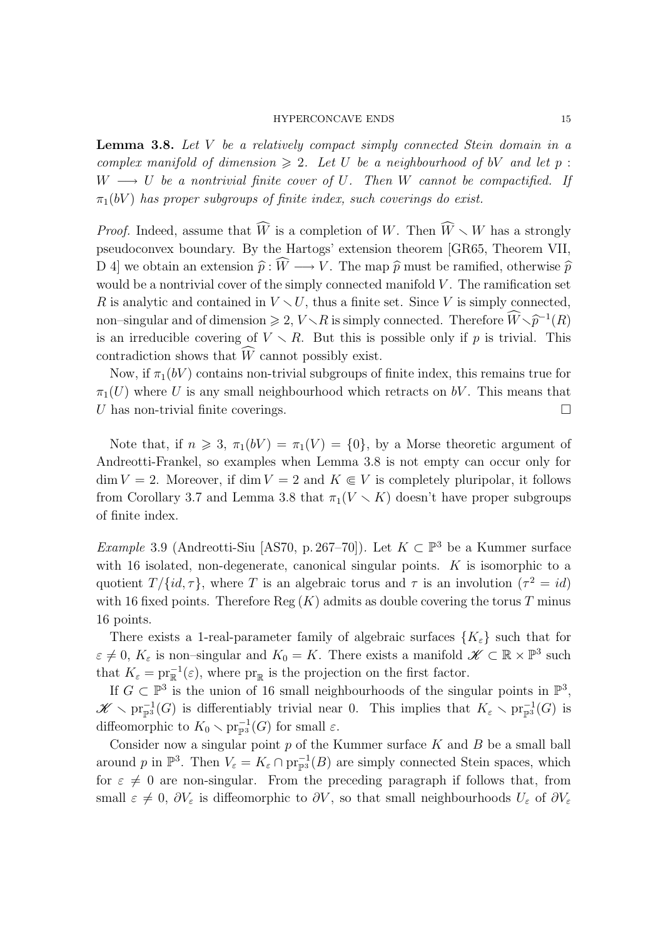Lemma 3.8. Let V be a relatively compact simply connected Stein domain in a complex manifold of dimension  $\geq 2$ . Let U be a neighbourhood of bV and let p:  $W \longrightarrow U$  be a nontrivial finite cover of U. Then W cannot be compactified. If  $\pi_1(bV)$  has proper subgroups of finite index, such coverings do exist.

*Proof.* Indeed, assume that  $\widehat{W}$  is a completion of W. Then  $\widehat{W} \setminus W$  has a strongly pseudoconvex boundary. By the Hartogs' extension theorem [GR65, Theorem VII, D 4] we obtain an extension  $\hat{p} : \hat{W} \longrightarrow V$ . The map  $\hat{p}$  must be ramified, otherwise  $\hat{p}$ would be a nontrivial cover of the simply connected manifold  $V$ . The ramification set R is analytic and contained in  $V \setminus U$ , thus a finite set. Since V is simply connected, non–singular and of dimension  $\geq 2$ ,  $V \setminus R$  is simply connected. Therefore  $\widehat{W} \setminus \widehat{p}^{-1}(R)$ is an irreducible covering of  $V \setminus R$ . But this is possible only if p is trivial. This contradiction shows that  $\widehat{W}$  cannot possibly exist.

Now, if  $\pi_1(bV)$  contains non-trivial subgroups of finite index, this remains true for  $\pi_1(U)$  where U is any small neighbourhood which retracts on bV. This means that U has non-trivial finite coverings.

Note that, if  $n \ge 3$ ,  $\pi_1(bV) = \pi_1(V) = \{0\}$ , by a Morse theoretic argument of Andreotti-Frankel, so examples when Lemma 3.8 is not empty can occur only for  $\dim V = 2$ . Moreover, if  $\dim V = 2$  and  $K \in V$  is completely pluripolar, it follows from Corollary 3.7 and Lemma 3.8 that  $\pi_1(V \setminus K)$  doesn't have proper subgroups of finite index.

*Example* 3.9 (Andreotti-Siu [AS70, p. 267–70]). Let  $K \subset \mathbb{P}^3$  be a Kummer surface with 16 isolated, non-degenerate, canonical singular points. K is isomorphic to a quotient  $T/{id, \tau}$ , where T is an algebraic torus and  $\tau$  is an involution  $(\tau^2 = id)$ with 16 fixed points. Therefore Reg  $(K)$  admits as double covering the torus T minus 16 points.

There exists a 1-real-parameter family of algebraic surfaces  ${K_{\varepsilon}}$  such that for  $\varepsilon \neq 0, K_{\varepsilon}$  is non-singular and  $K_0 = K$ . There exists a manifold  $\mathscr{K} \subset \mathbb{R} \times \mathbb{P}^3$  such that  $K_{\varepsilon} = \text{pr}_{\mathbb{R}}^{-1}(\varepsilon)$ , where  $\text{pr}_{\mathbb{R}}$  is the projection on the first factor.

If  $G \subset \mathbb{P}^3$  is the union of 16 small neighbourhoods of the singular points in  $\mathbb{P}^3$ ,  $\mathscr{K} \setminus \mathrm{pr}_{\mathbb{P}^3}^{-1}(G)$  is differentiably trivial near 0. This implies that  $K_{\varepsilon} \setminus \mathrm{pr}_{\mathbb{P}^3}^{-1}(G)$  is diffeomorphic to  $K_0 \setminus \text{pr}_{\mathbb{P}^3}^{-1}(G)$  for small  $\varepsilon$ .

Consider now a singular point  $p$  of the Kummer surface  $K$  and  $B$  be a small ball around p in  $\mathbb{P}^3$ . Then  $V_{\varepsilon} = K_{\varepsilon} \cap \text{pr}_{\mathbb{P}^3}^{-1}(B)$  are simply connected Stein spaces, which for  $\varepsilon \neq 0$  are non-singular. From the preceding paragraph if follows that, from small  $\varepsilon \neq 0$ ,  $\partial V_{\varepsilon}$  is diffeomorphic to  $\partial V$ , so that small neighbourhoods  $U_{\varepsilon}$  of  $\partial V_{\varepsilon}$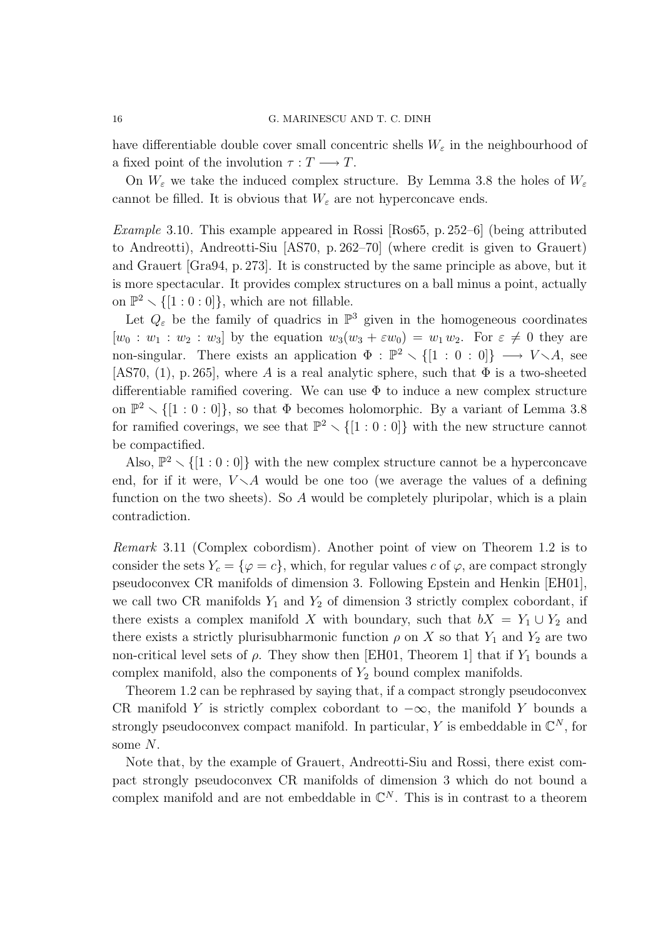have differentiable double cover small concentric shells  $W_{\varepsilon}$  in the neighbourhood of a fixed point of the involution  $\tau : T \longrightarrow T$ .

On  $W_{\varepsilon}$  we take the induced complex structure. By Lemma 3.8 the holes of  $W_{\varepsilon}$ cannot be filled. It is obvious that  $W_{\varepsilon}$  are not hyperconcave ends.

Example 3.10. This example appeared in Rossi [Ros65, p. 252–6] (being attributed to Andreotti), Andreotti-Siu [AS70, p. 262–70] (where credit is given to Grauert) and Grauert [Gra94, p. 273]. It is constructed by the same principle as above, but it is more spectacular. It provides complex structures on a ball minus a point, actually on  $\mathbb{P}^2 \setminus \{[1:0:0]\}$ , which are not fillable.

Let  $Q_{\varepsilon}$  be the family of quadrics in  $\mathbb{P}^{3}$  given in the homogeneous coordinates  $[w_0: w_1: w_2: w_3]$  by the equation  $w_3(w_3 + \varepsilon w_0) = w_1 w_2$ . For  $\varepsilon \neq 0$  they are non-singular. There exists an application  $\Phi : \mathbb{P}^2 \setminus \{[1 : 0 : 0]\} \longrightarrow V \setminus A$ , see [AS70, (1), p. 265], where A is a real analytic sphere, such that  $\Phi$  is a two-sheeted differentiable ramified covering. We can use  $\Phi$  to induce a new complex structure on  $\mathbb{P}^2 \setminus \{[1:0:0]\}$ , so that  $\Phi$  becomes holomorphic. By a variant of Lemma 3.8 for ramified coverings, we see that  $\mathbb{P}^2 \setminus \{[1:0:0]\}$  with the new structure cannot be compactified.

Also,  $\mathbb{P}^2 \setminus \{[1:0:0]\}$  with the new complex structure cannot be a hyperconcave end, for if it were,  $V \setminus A$  would be one too (we average the values of a defining function on the two sheets). So A would be completely pluripolar, which is a plain contradiction.

Remark 3.11 (Complex cobordism). Another point of view on Theorem 1.2 is to consider the sets  $Y_c = \{\varphi = c\}$ , which, for regular values c of  $\varphi$ , are compact strongly pseudoconvex CR manifolds of dimension 3. Following Epstein and Henkin [EH01], we call two CR manifolds  $Y_1$  and  $Y_2$  of dimension 3 strictly complex cobordant, if there exists a complex manifold X with boundary, such that  $bX = Y_1 \cup Y_2$  and there exists a strictly plurisubharmonic function  $\rho$  on X so that  $Y_1$  and  $Y_2$  are two non-critical level sets of  $\rho$ . They show then [EH01, Theorem 1] that if  $Y_1$  bounds a complex manifold, also the components of  $Y_2$  bound complex manifolds.

Theorem 1.2 can be rephrased by saying that, if a compact strongly pseudoconvex CR manifold Y is strictly complex cobordant to  $-\infty$ , the manifold Y bounds a strongly pseudoconvex compact manifold. In particular, Y is embeddable in  $\mathbb{C}^N$ , for some N.

Note that, by the example of Grauert, Andreotti-Siu and Rossi, there exist compact strongly pseudoconvex CR manifolds of dimension 3 which do not bound a complex manifold and are not embeddable in  $\mathbb{C}^N$ . This is in contrast to a theorem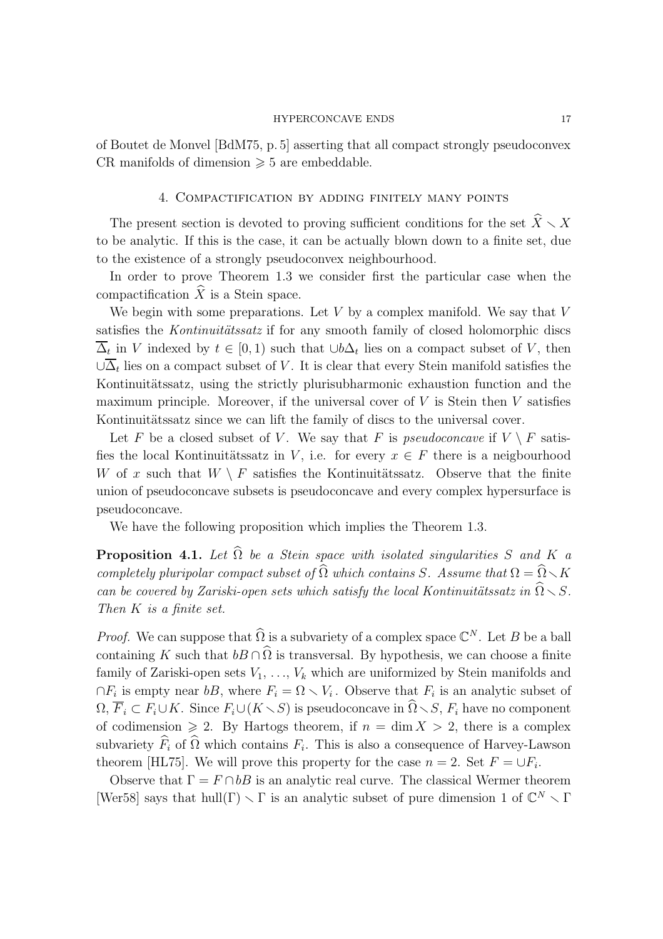of Boutet de Monvel [BdM75, p. 5] asserting that all compact strongly pseudoconvex CR manifolds of dimension  $\geq 5$  are embeddable.

## 4. Compactification by adding finitely many points

The present section is devoted to proving sufficient conditions for the set  $\hat{X} \setminus X$ to be analytic. If this is the case, it can be actually blown down to a finite set, due to the existence of a strongly pseudoconvex neighbourhood.

In order to prove Theorem 1.3 we consider first the particular case when the compactification  $\widehat{X}$  is a Stein space.

We begin with some preparations. Let  $V$  by a complex manifold. We say that  $V$ satisfies the *Kontinuitätssatz* if for any smooth family of closed holomorphic discs  $\Delta_t$  in V indexed by  $t \in [0,1)$  such that  $\cup b\Delta_t$  lies on a compact subset of V, then  $\cup \Delta_t$  lies on a compact subset of V. It is clear that every Stein manifold satisfies the Kontinuitätssatz, using the strictly plurisubharmonic exhaustion function and the maximum principle. Moreover, if the universal cover of  $V$  is Stein then  $V$  satisfies Kontinuitätssatz since we can lift the family of discs to the universal cover.

Let F be a closed subset of V. We say that F is pseudoconcave if  $V \setminus F$  satisfies the local Kontinuitätssatz in V, i.e. for every  $x \in F$  there is a neigbourhood W of x such that  $W \setminus F$  satisfies the Kontinuitätssatz. Observe that the finite union of pseudoconcave subsets is pseudoconcave and every complex hypersurface is pseudoconcave.

We have the following proposition which implies the Theorem 1.3.

**Proposition 4.1.** Let  $\widehat{\Omega}$  be a Stein space with isolated singularities S and K a completely pluripolar compact subset of  $\widehat{\Omega}$  which contains S. Assume that  $\Omega = \widehat{\Omega} \setminus K$ can be covered by Zariski-open sets which satisfy the local Kontinuitätssatz in  $\widehat{\Omega} \setminus S$ . Then K is a finite set.

*Proof.* We can suppose that  $\widehat{\Omega}$  is a subvariety of a complex space  $\mathbb{C}^N$ . Let B be a ball containing K such that  $bB \cap \hat{\Omega}$  is transversal. By hypothesis, we can choose a finite family of Zariski-open sets  $V_1, \ldots, V_k$  which are uniformized by Stein manifolds and  $\cap F_i$  is empty near bB, where  $F_i = \Omega \setminus V_i$ . Observe that  $F_i$  is an analytic subset of  $\Omega, \overline{F}_i \subset F_i \cup K$ . Since  $F_i \cup (K \setminus S)$  is pseudoconcave in  $\widehat{\Omega} \setminus S$ ,  $F_i$  have no component of codimension  $\geq 2$ . By Hartogs theorem, if  $n = \dim X > 2$ , there is a complex subvariety  $F_i$  of  $\Omega$  which contains  $F_i$ . This is also a consequence of Harvey-Lawson theorem [HL75]. We will prove this property for the case  $n = 2$ . Set  $F = \bigcup F_i$ .

Observe that  $\Gamma = F \cap bB$  is an analytic real curve. The classical Wermer theorem [Wer58] says that hull( $\Gamma$ )  $\setminus \Gamma$  is an analytic subset of pure dimension 1 of  $\mathbb{C}^N \setminus \Gamma$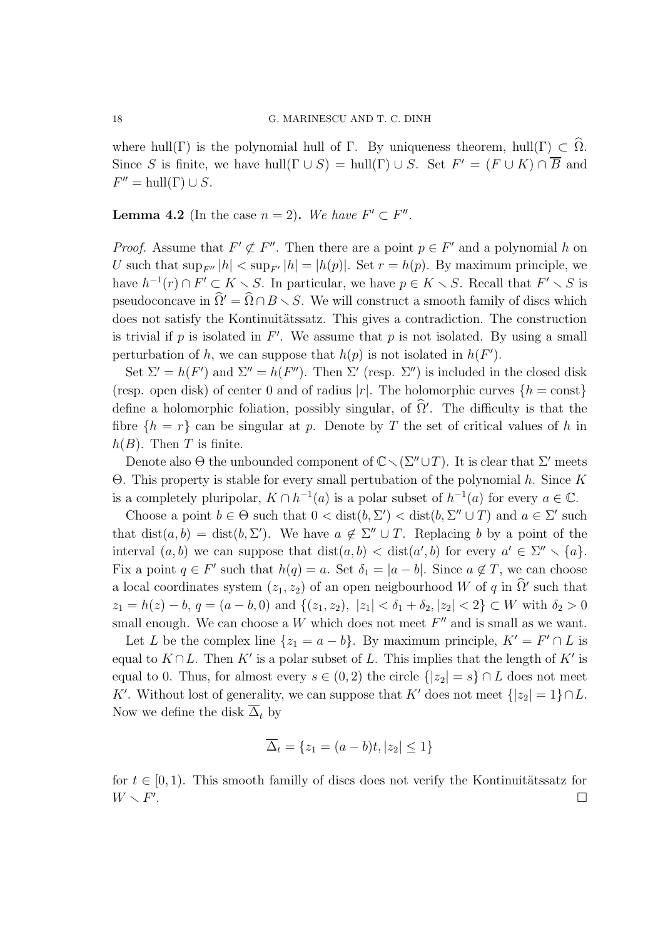where hull(Γ) is the polynomial hull of Γ. By uniqueness theorem, hull(Γ)  $\subset \Omega$ . Since S is finite, we have hull( $\Gamma \cup S$ ) = hull( $\Gamma$ )  $\cup$  S. Set  $F' = (F \cup K) \cap \overline{B}$  and  $F'' = \text{hull}(\Gamma) \cup S.$ 

**Lemma 4.2** (In the case  $n = 2$ ). We have  $F' \subset F''$ .

*Proof.* Assume that  $F' \not\subset F''$ . Then there are a point  $p \in F'$  and a polynomial h on U such that  $\sup_{F''} |h| < \sup_{F'} |h| = |h(p)|$ . Set  $r = h(p)$ . By maximum principle, we have  $h^{-1}(r) \cap F' \subset K \setminus S$ . In particular, we have  $p \in K \setminus S$ . Recall that  $F' \setminus S$  is pseudoconcave in  $\widehat{\Omega}' = \widehat{\Omega} \cap B \setminus S$ . We will construct a smooth family of discs which does not satisfy the Kontinuitätssatz. This gives a contradiction. The construction is trivial if  $p$  is isolated in  $F'$ . We assume that  $p$  is not isolated. By using a small perturbation of h, we can suppose that  $h(p)$  is not isolated in  $h(F')$ .

Set  $\Sigma' = h(F')$  and  $\Sigma'' = h(F'')$ . Then  $\Sigma'$  (resp.  $\Sigma'$ ) is included in the closed disk (resp. open disk) of center 0 and of radius |r|. The holomorphic curves  $\{h = \text{const}\}\$ define a holomorphic foliation, possibly singular, of  $\hat{\Omega}'$ . The difficulty is that the fibre  $\{h = r\}$  can be singular at p. Denote by T the set of critical values of h in  $h(B)$ . Then T is finite.

Denote also  $\Theta$  the unbounded component of  $\mathbb{C} \setminus (\Sigma'' \cup T)$ . It is clear that  $\Sigma'$  meets Θ. This property is stable for every small pertubation of the polynomial h. Since K is a completely pluripolar,  $K \cap h^{-1}(a)$  is a polar subset of  $h^{-1}(a)$  for every  $a \in \mathbb{C}$ .

Choose a point  $b \in \Theta$  such that  $0 < \text{dist}(b, \Sigma') < \text{dist}(b, \Sigma'' \cup T)$  and  $a \in \Sigma'$  such that  $dist(a, b) = dist(b, \Sigma')$ . We have  $a \notin \Sigma'' \cup T$ . Replacing b by a point of the interval  $(a, b)$  we can suppose that  $dist(a, b) < dist(a', b)$  for every  $a' \in \Sigma'' \setminus \{a\}.$ Fix a point  $q \in F'$  such that  $h(q) = a$ . Set  $\delta_1 = |a - b|$ . Since  $a \notin T$ , we can choose a local coordinates system  $(z_1, z_2)$  of an open neigbourhood W of q in  $\Omega'$  such that  $z_1 = h(z) - b$ ,  $q = (a - b, 0)$  and  $\{(z_1, z_2), |z_1| < \delta_1 + \delta_2, |z_2| < 2\} \subset W$  with  $\delta_2 > 0$ small enough. We can choose a W which does not meet  $F''$  and is small as we want.

Let L be the complex line  $\{z_1 = a - b\}$ . By maximum principle,  $K' = F' \cap L$  is equal to  $K \cap L$ . Then K' is a polar subset of L. This implies that the length of K' is equal to 0. Thus, for almost every  $s \in (0,2)$  the circle  $\{|z_2| = s\} \cap L$  does not meet K'. Without lost of generality, we can suppose that K' does not meet  $\{|z_2|=1\} \cap L$ . Now we define the disk  $\overline{\Delta}_t$  by

$$
\overline{\Delta}_t = \{z_1 = (a - b)t, |z_2| \le 1\}
$$

for  $t \in [0, 1)$ . This smooth familly of discs does not verify the Kontinuitätssatz for  $W \setminus F'$ .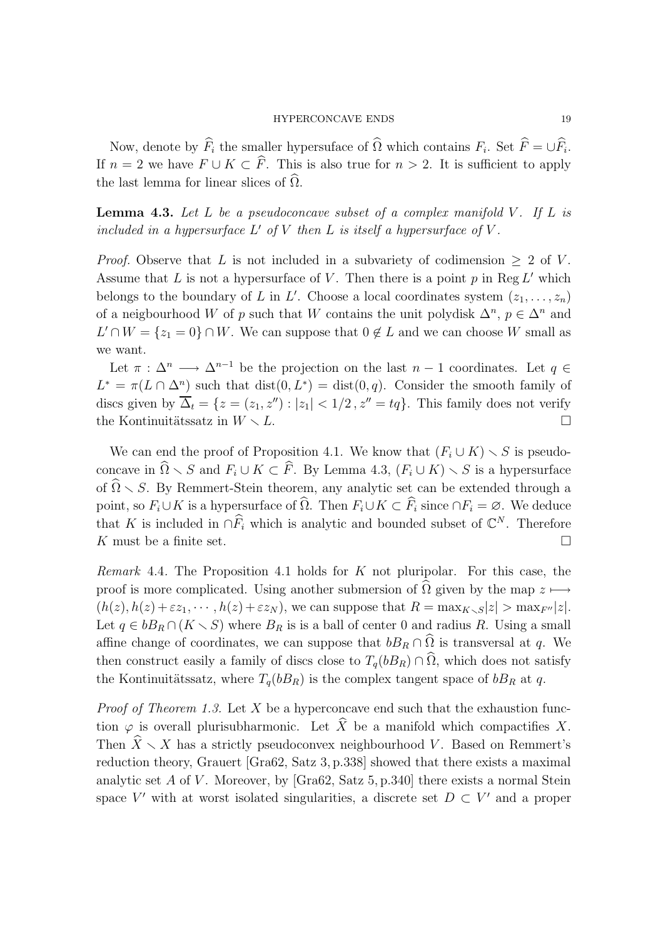Now, denote by  $F_i$  the smaller hypersuface of  $\Omega$  which contains  $F_i$ . Set  $F = \bigcup F_i$ . If  $n = 2$  we have  $F \cup K \subset \widehat{F}$ . This is also true for  $n > 2$ . It is sufficient to apply the last lemma for linear slices of  $\widehat{\Omega}$ .

**Lemma 4.3.** Let L be a pseudoconcave subset of a complex manifold V. If L is included in a hypersurface  $L'$  of  $V$  then  $L$  is itself a hypersurface of  $V$ .

*Proof.* Observe that L is not included in a subvariety of codimension  $\geq 2$  of V. Assume that L is not a hypersurface of V. Then there is a point  $p$  in Reg L' which belongs to the boundary of L in L'. Choose a local coordinates system  $(z_1, \ldots, z_n)$ of a neigbourhood W of p such that W contains the unit polydisk  $\Delta^n$ ,  $p \in \Delta^n$  and  $L' \cap W = \{z_1 = 0\} \cap W$ . We can suppose that  $0 \notin L$  and we can choose W small as we want.

Let  $\pi : \Delta^n \longrightarrow \Delta^{n-1}$  be the projection on the last  $n-1$  coordinates. Let  $q \in$  $L^* = \pi(L \cap \Delta^n)$  such that  $dist(0, L^*) = dist(0, q)$ . Consider the smooth family of discs given by  $\overline{\Delta}_t = \{z = (z_1, z'') : |z_1| < 1/2, z'' = tq\}$ . This family does not verify the Kontinuitätssatz in  $W \setminus L$ .

We can end the proof of Proposition 4.1. We know that  $(F_i \cup K) \setminus S$  is pseudoconcave in  $\widehat{\Omega} \setminus S$  and  $F_i \cup K \subset \widehat{F}$ . By Lemma 4.3,  $(F_i \cup K) \setminus S$  is a hypersurface of  $\widehat{\Omega} \setminus S$ . By Remmert-Stein theorem, any analytic set can be extended through a point, so  $F_i \cup K$  is a hypersurface of  $\widehat{\Omega}$ . Then  $F_i \cup K \subset \widehat{F}_i$  since  $\cap F_i = \emptyset$ . We deduce that K is included in  $\cap \widehat{F}_i$  which is analytic and bounded subset of  $\mathbb{C}^N$ . Therefore K must be a finite set.  $\Box$ 

Remark 4.4. The Proposition 4.1 holds for  $K$  not pluripolar. For this case, the proof is more complicated. Using another submersion of  $\Omega$  given by the map  $z \mapsto$  $(h(z), h(z)+\varepsilon z_1, \cdots, h(z)+\varepsilon z_N)$ , we can suppose that  $R = \max_{K \setminus S} |z| > \max_{F''} |z|$ . Let  $q \in bB_R \cap (K \setminus S)$  where  $B_R$  is is a ball of center 0 and radius R. Using a small affine change of coordinates, we can suppose that  $bB_R \cap \hat{\Omega}$  is transversal at q. We then construct easily a family of discs close to  $T_q(bB_R) \cap \Omega$ , which does not satisfy the Kontinuitätssatz, where  $T_q(bB_R)$  is the complex tangent space of  $bB_R$  at q.

*Proof of Theorem 1.3.* Let  $X$  be a hyperconcave end such that the exhaustion function  $\varphi$  is overall plurisubharmonic. Let  $\widehat{X}$  be a manifold which compactifies X. Then  $\widehat{X} \setminus X$  has a strictly pseudoconvex neighbourhood V. Based on Remmert's reduction theory, Grauert [Gra62, Satz 3, p.338] showed that there exists a maximal analytic set A of V. Moreover, by [Gra $62$ , Satz 5, p.340] there exists a normal Stein space  $V'$  with at worst isolated singularities, a discrete set  $D \subset V'$  and a proper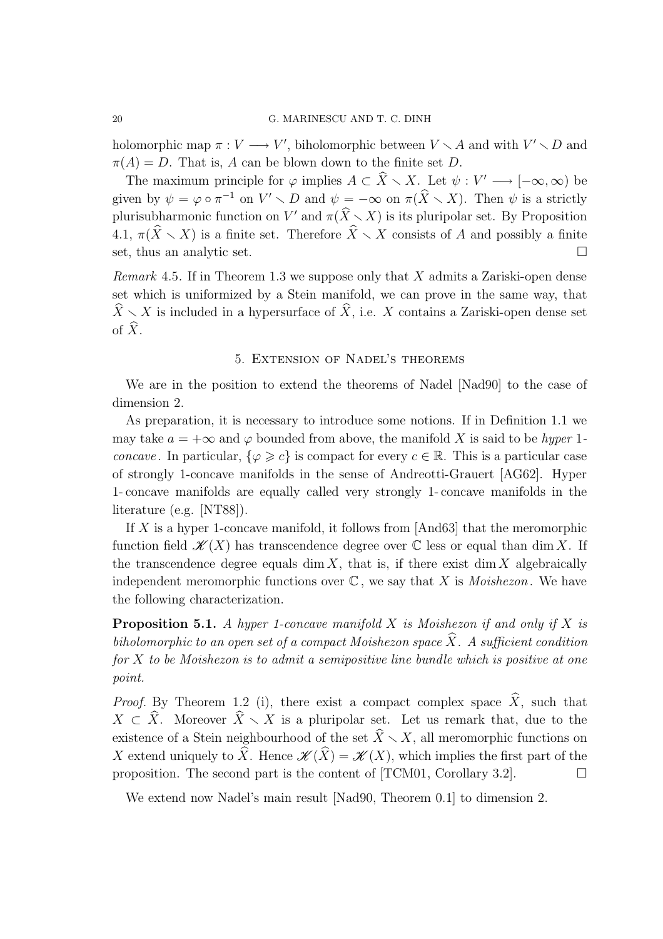holomorphic map  $\pi : V \longrightarrow V'$ , biholomorphic between  $V \setminus A$  and with  $V' \setminus D$  and  $\pi(A) = D$ . That is, A can be blown down to the finite set D.

The maximum principle for  $\varphi$  implies  $A \subset \hat{X} \setminus X$ . Let  $\psi : V' \longrightarrow [-\infty, \infty)$  be given by  $\psi = \varphi \circ \pi^{-1}$  on  $V' \setminus D$  and  $\psi = -\infty$  on  $\pi(\widehat{X} \setminus X)$ . Then  $\psi$  is a strictly plurisubharmonic function on V' and  $\pi(\widehat{X}\setminus X)$  is its pluripolar set. By Proposition 4.1,  $\pi(\widehat{X}\setminus X)$  is a finite set. Therefore  $\widehat{X}\setminus X$  consists of A and possibly a finite set, thus an analytic set.

*Remark* 4.5. If in Theorem 1.3 we suppose only that  $X$  admits a Zariski-open dense set which is uniformized by a Stein manifold, we can prove in the same way, that  $\widehat{X}\setminus X$  is included in a hypersurface of  $\widehat{X}$ , i.e. X contains a Zariski-open dense set of  $\widehat{X}$ .

## 5. Extension of Nadel's theorems

We are in the position to extend the theorems of Nadel [Nad90] to the case of dimension 2.

As preparation, it is necessary to introduce some notions. If in Definition 1.1 we may take  $a = +\infty$  and  $\varphi$  bounded from above, the manifold X is said to be hyper 1*concave*. In particular,  $\{\varphi \geq c\}$  is compact for every  $c \in \mathbb{R}$ . This is a particular case of strongly 1-concave manifolds in the sense of Andreotti-Grauert [AG62]. Hyper 1- concave manifolds are equally called very strongly 1- concave manifolds in the literature (e.g. [NT88]).

If  $X$  is a hyper 1-concave manifold, it follows from [And63] that the meromorphic function field  $\mathscr{K}(X)$  has transcendence degree over  $\mathbb C$  less or equal than dim X. If the transcendence degree equals dim  $X$ , that is, if there exist dim  $X$  algebraically independent meromorphic functions over  $\mathbb C$ , we say that X is *Moishezon*. We have the following characterization.

**Proposition 5.1.** A hyper 1-concave manifold X is Moishezon if and only if X is biholomorphic to an open set of a compact Moishezon space  $\overline{X}$ . A sufficient condition  $for X to be Moishezon is to admit a semipositive line bundle which is positive at one$ point.

*Proof.* By Theorem 1.2 (i), there exist a compact complex space  $\hat{X}$ , such that  $X \subset \hat{X}$ . Moreover  $\hat{X} \setminus X$  is a pluripolar set. Let us remark that, due to the existence of a Stein neighbourhood of the set  $\hat{X}\setminus X$ , all meromorphic functions on X extend uniquely to  $\widehat{X}$ . Hence  $\mathscr{K}(\widehat{X}) = \mathscr{K}(X)$ , which implies the first part of the proposition. The second part is the content of [TCM01, Corollary 3.2].  $\Box$ 

We extend now Nadel's main result [Nad90, Theorem 0.1] to dimension 2.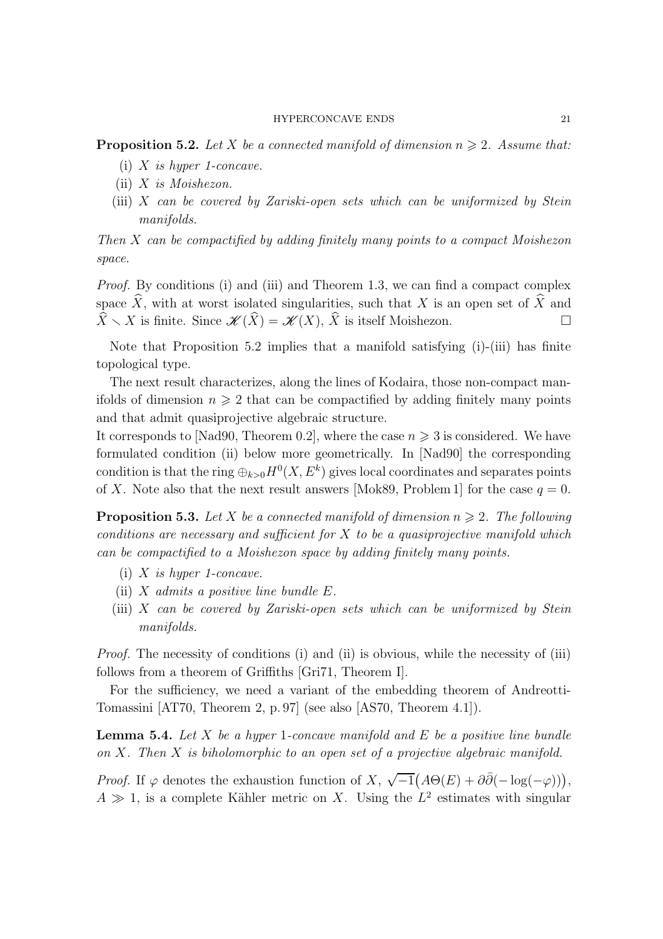**Proposition 5.2.** Let X be a connected manifold of dimension  $n \geq 2$ . Assume that:

- (i)  $X$  is hyper 1-concave.
- (ii)  $X$  is Moishezon.
- (iii) X can be covered by Zariski-open sets which can be uniformized by Stein manifolds.

Then X can be compactified by adding finitely many points to a compact Moishezon space.

Proof. By conditions (i) and (iii) and Theorem 1.3, we can find a compact complex space  $\widehat{X}$ , with at worst isolated singularities, such that X is an open set of  $\widehat{X}$  and  $\widehat{X} \setminus X$  is finite. Since  $\mathscr{K}(\widehat{X}) = \mathscr{K}(X), \widehat{X}$  is itself Moishezon.

Note that Proposition 5.2 implies that a manifold satisfying (i)-(iii) has finite topological type.

The next result characterizes, along the lines of Kodaira, those non-compact manifolds of dimension  $n \geqslant 2$  that can be compactified by adding finitely many points and that admit quasiprojective algebraic structure.

It corresponds to [Nad90, Theorem 0.2], where the case  $n \geq 3$  is considered. We have formulated condition (ii) below more geometrically. In [Nad90] the corresponding condition is that the ring  $\bigoplus_{k>0} H^0(X,E^k)$  gives local coordinates and separates points of X. Note also that the next result answers [Mok89, Problem 1] for the case  $q = 0$ .

**Proposition 5.3.** Let X be a connected manifold of dimension  $n \geq 2$ . The following conditions are necessary and sufficient for  $X$  to be a quasiprojective manifold which can be compactified to a Moishezon space by adding finitely many points.

- (i)  $X$  is hyper 1-concave.
- (ii)  $X$  admits a positive line bundle  $E$ .
- (iii) X can be covered by Zariski-open sets which can be uniformized by Stein manifolds.

Proof. The necessity of conditions (i) and (ii) is obvious, while the necessity of (iii) follows from a theorem of Griffiths [Gri71, Theorem I].

For the sufficiency, we need a variant of the embedding theorem of Andreotti-Tomassini [AT70, Theorem 2, p. 97] (see also [AS70, Theorem 4.1]).

**Lemma 5.4.** Let X be a hyper 1-concave manifold and E be a positive line bundle on  $X$ . Then  $X$  is biholomorphic to an open set of a projective algebraic manifold.

*Proof.* If  $\varphi$  denotes the exhaustion function of X,  $\sqrt{-1}(A\Theta(E) + \partial\bar{\partial}(-\log(-\varphi)))$ ,  $A \gg 1$ , is a complete Kähler metric on X. Using the  $L^2$  estimates with singular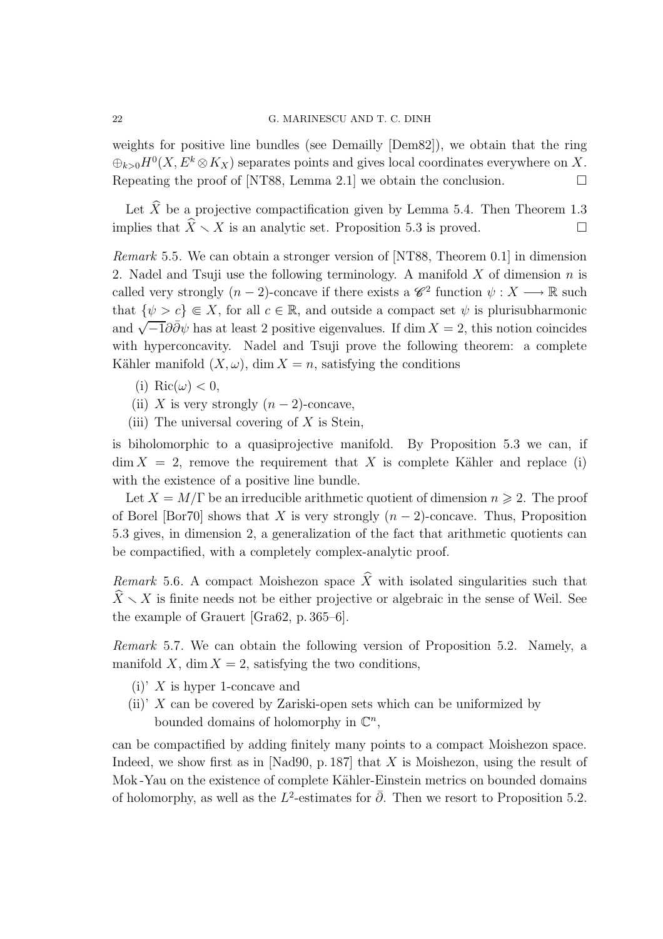### 22 G. MARINESCU AND T. C. DINH

weights for positive line bundles (see Demailly [Dem82]), we obtain that the ring  $\bigoplus_{k>0} H^0(X, E^k \otimes K_X)$  separates points and gives local coordinates everywhere on X. Repeating the proof of [NT88, Lemma 2.1] we obtain the conclusion.  $\Box$ 

Let  $\hat{X}$  be a projective compactification given by Lemma 5.4. Then Theorem 1.3 implies that  $\widehat{X}\setminus X$  is an analytic set. Proposition 5.3 is proved.

Remark 5.5. We can obtain a stronger version of [NT88, Theorem 0.1] in dimension 2. Nadel and Tsuji use the following terminology. A manifold  $X$  of dimension  $n$  is called very strongly  $(n-2)$ -concave if there exists a  $\mathscr{C}^2$  function  $\psi: X \longrightarrow \mathbb{R}$  such that  $\{\psi > c\} \in X$ , for all  $c \in \mathbb{R}$ , and outside a compact set  $\psi$  is plurisubharmonic and  $\sqrt{-1}\partial\bar{\partial}\psi$  has at least 2 positive eigenvalues. If dim  $X = 2$ , this notion coincides with hyperconcavity. Nadel and Tsuji prove the following theorem: a complete Kähler manifold  $(X, \omega)$ , dim  $X = n$ , satisfying the conditions

- (i) Ric $(\omega) < 0$ ,
- (ii) X is very strongly  $(n-2)$ -concave,
- (iii) The universal covering of  $X$  is Stein,

is biholomorphic to a quasiprojective manifold. By Proposition 5.3 we can, if  $\dim X = 2$ , remove the requirement that X is complete Kähler and replace (i) with the existence of a positive line bundle.

Let  $X = M/\Gamma$  be an irreducible arithmetic quotient of dimension  $n \geq 2$ . The proof of Borel [Bor70] shows that X is very strongly  $(n-2)$ -concave. Thus, Proposition 5.3 gives, in dimension 2, a generalization of the fact that arithmetic quotients can be compactified, with a completely complex-analytic proof.

Remark 5.6. A compact Moishezon space  $\widehat{X}$  with isolated singularities such that  $\widehat{X}\setminus X$  is finite needs not be either projective or algebraic in the sense of Weil. See the example of Grauert [Gra62, p. 365–6].

Remark 5.7. We can obtain the following version of Proposition 5.2. Namely, a manifold X, dim  $X = 2$ , satisfying the two conditions,

- (i)' X is hyper 1-concave and
- (ii)'  $X$  can be covered by Zariski-open sets which can be uniformized by bounded domains of holomorphy in  $\mathbb{C}^n$ ,

can be compactified by adding finitely many points to a compact Moishezon space. Indeed, we show first as in [Nad90, p. 187] that  $X$  is Moishezon, using the result of Mok-Yau on the existence of complete Kähler-Einstein metrics on bounded domains of holomorphy, as well as the  $L^2$ -estimates for  $\bar{\partial}$ . Then we resort to Proposition 5.2.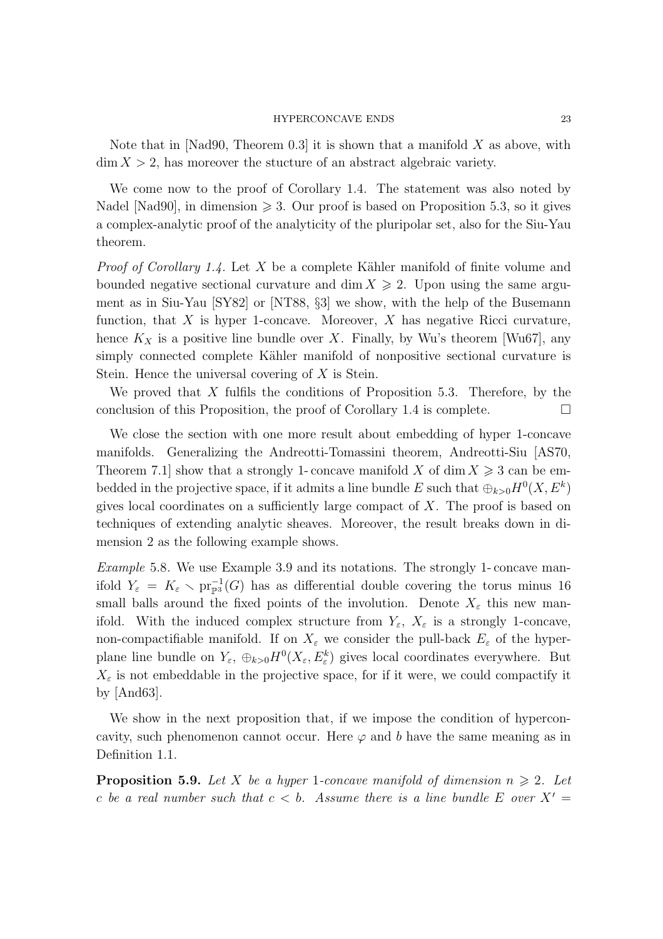Note that in [Nad90, Theorem 0.3] it is shown that a manifold  $X$  as above, with  $\dim X > 2$ , has moreover the stucture of an abstract algebraic variety.

We come now to the proof of Corollary 1.4. The statement was also noted by Nadel [Nad90], in dimension  $\geqslant$  3. Our proof is based on Proposition 5.3, so it gives a complex-analytic proof of the analyticity of the pluripolar set, also for the Siu-Yau theorem.

*Proof of Corollary 1.4.* Let X be a complete Kähler manifold of finite volume and bounded negative sectional curvature and dim  $X \geqslant 2$ . Upon using the same argument as in Siu-Yau [SY82] or [NT88, §3] we show, with the help of the Busemann function, that  $X$  is hyper 1-concave. Moreover,  $X$  has negative Ricci curvature, hence  $K_X$  is a positive line bundle over X. Finally, by Wu's theorem [Wu67], any simply connected complete Kähler manifold of nonpositive sectional curvature is Stein. Hence the universal covering of X is Stein.

We proved that  $X$  fulfils the conditions of Proposition 5.3. Therefore, by the conclusion of this Proposition, the proof of Corollary 1.4 is complete.  $\Box$ 

We close the section with one more result about embedding of hyper 1-concave manifolds. Generalizing the Andreotti-Tomassini theorem, Andreotti-Siu [AS70, Theorem 7.1 show that a strongly 1- concave manifold X of dim  $X \geq 3$  can be embedded in the projective space, if it admits a line bundle E such that  $\bigoplus_{k>0} H^0(X, E^k)$ gives local coordinates on a sufficiently large compact of X. The proof is based on techniques of extending analytic sheaves. Moreover, the result breaks down in dimension 2 as the following example shows.

Example 5.8. We use Example 3.9 and its notations. The strongly 1- concave manifold  $Y_{\varepsilon} = K_{\varepsilon} \setminus \text{pr}_{\mathbb{P}^{3}}^{-1}(G)$  has as differential double covering the torus minus 16 small balls around the fixed points of the involution. Denote  $X_{\varepsilon}$  this new manifold. With the induced complex structure from  $Y_{\varepsilon}$ ,  $X_{\varepsilon}$  is a strongly 1-concave, non-compactifiable manifold. If on  $X_{\varepsilon}$  we consider the pull-back  $E_{\varepsilon}$  of the hyperplane line bundle on  $Y_{\varepsilon}$ ,  $\oplus_{k>0} H^0(X_{\varepsilon}, E_{\varepsilon}^k)$  gives local coordinates everywhere. But  $X_{\varepsilon}$  is not embeddable in the projective space, for if it were, we could compactify it by [And63].

We show in the next proposition that, if we impose the condition of hyperconcavity, such phenomenon cannot occur. Here  $\varphi$  and b have the same meaning as in Definition 1.1.

**Proposition 5.9.** Let X be a hyper 1-concave manifold of dimension  $n \geq 2$ . Let c be a real number such that  $c < b$ . Assume there is a line bundle E over  $X' =$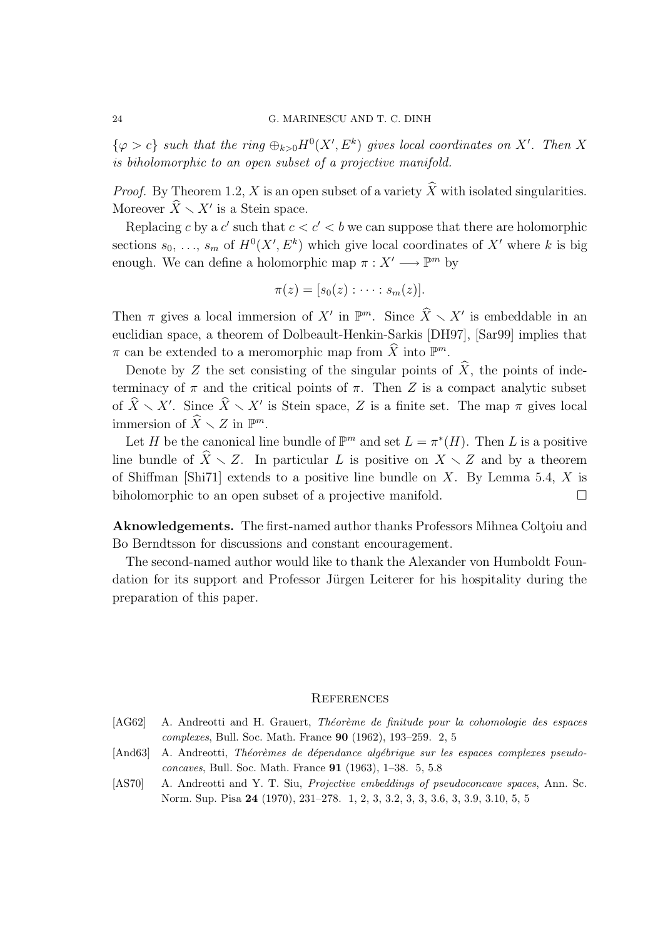$\{\varphi > c\}$  such that the ring  $\oplus_{k>0} H^0(X', E^k)$  gives local coordinates on X'. Then X is biholomorphic to an open subset of a projective manifold.

*Proof.* By Theorem 1.2, X is an open subset of a variety  $\widehat{X}$  with isolated singularities. Moreover  $\widehat{X} \setminus X'$  is a Stein space.

Replacing c by a  $c'$  such that  $c < c' < b$  we can suppose that there are holomorphic sections  $s_0, \ldots, s_m$  of  $H^0(X', E^k)$  which give local coordinates of X' where k is big enough. We can define a holomorphic map  $\pi : X' \longrightarrow \mathbb{P}^m$  by

$$
\pi(z)=[s_0(z):\cdots:s_m(z)].
$$

Then  $\pi$  gives a local immersion of X' in  $\mathbb{P}^m$ . Since  $\widehat{X} \setminus X'$  is embeddable in an euclidian space, a theorem of Dolbeault-Henkin-Sarkis [DH97], [Sar99] implies that  $\pi$  can be extended to a meromorphic map from  $\widehat{X}$  into  $\mathbb{P}^m$ .

Denote by Z the set consisting of the singular points of  $\hat{X}$ , the points of indeterminacy of  $\pi$  and the critical points of  $\pi$ . Then Z is a compact analytic subset of  $\widehat{X}\setminus X'$ . Since  $\widehat{X}\setminus X'$  is Stein space, Z is a finite set. The map  $\pi$  gives local immersion of  $\widehat{X} \setminus Z$  in  $\mathbb{P}^m$ .

Let H be the canonical line bundle of  $\mathbb{P}^m$  and set  $L = \pi^*(H)$ . Then L is a positive line bundle of  $\widehat{X}\setminus Z$ . In particular L is positive on  $X\setminus Z$  and by a theorem of Shiffman [Shi71] extends to a positive line bundle on  $X$ . By Lemma 5.4,  $X$  is biholomorphic to an open subset of a projective manifold.

Aknowledgements. The first-named author thanks Professors Mihnea Coltoiu and Bo Berndtsson for discussions and constant encouragement.

The second-named author would like to thank the Alexander von Humboldt Foundation for its support and Professor Jürgen Leiterer for his hospitality during the preparation of this paper.

#### **REFERENCES**

- [AG62] A. Andreotti and H. Grauert, Théorème de finitude pour la cohomologie des espaces complexes, Bull. Soc. Math. France 90 (1962), 193–259. 2, 5
- [And63] A. Andreotti, Théorèmes de dépendance algébrique sur les espaces complexes pseudoconcaves, Bull. Soc. Math. France 91 (1963), 1–38. 5, 5.8
- [AS70] A. Andreotti and Y. T. Siu, Projective embeddings of pseudoconcave spaces, Ann. Sc. Norm. Sup. Pisa 24 (1970), 231–278. 1, 2, 3, 3.2, 3, 3, 3.6, 3, 3.9, 3.10, 5, 5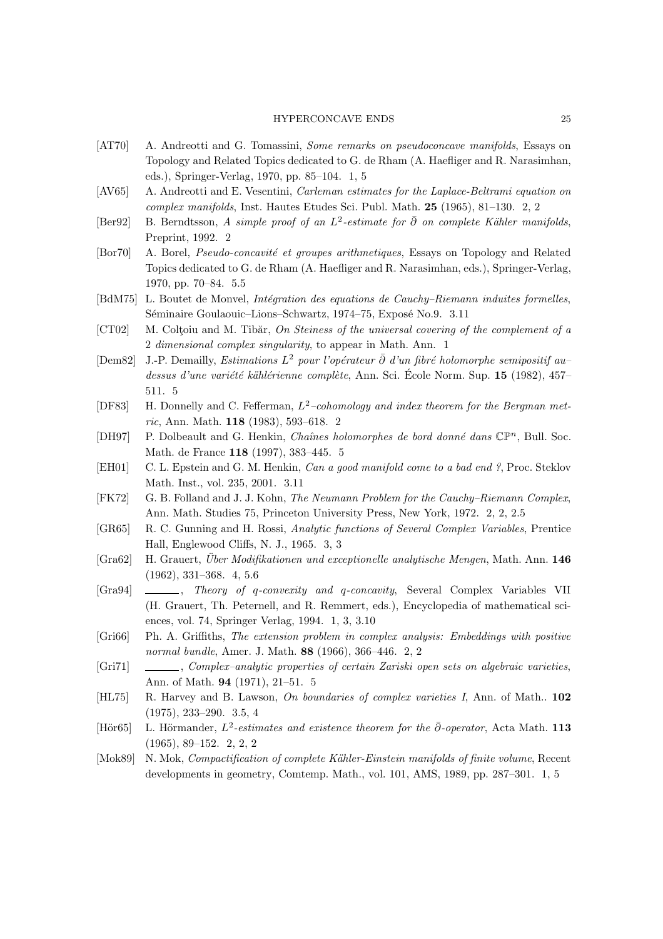- [AT70] A. Andreotti and G. Tomassini, *Some remarks on pseudoconcave manifolds*, Essays on Topology and Related Topics dedicated to G. de Rham (A. Haefliger and R. Narasimhan, eds.), Springer-Verlag, 1970, pp. 85–104. 1, 5
- [AV65] A. Andreotti and E. Vesentini, *Carleman estimates for the Laplace-Beltrami equation on* complex manifolds, Inst. Hautes Etudes Sci. Publ. Math. 25 (1965), 81–130. 2, 2
- [Ber92] B. Berndtsson, A simple proof of an  $L^2$ -estimate for  $\bar{\partial}$  on complete Kähler manifolds, Preprint, 1992. 2
- [Bor70] A. Borel, *Pseudo-concavité et groupes arithmetiques*, Essays on Topology and Related Topics dedicated to G. de Rham (A. Haefliger and R. Narasimhan, eds.), Springer-Verlag, 1970, pp. 70–84. 5.5
- [BdM75] L. Boutet de Monvel, *Intégration des equations de Cauchy–Riemann induites formelles*, Séminaire Goulaouic–Lions–Schwartz, 1974–75, Exposé No.9. 3.11
- [CT02] M. Coltoiu and M. Tibăr, On Steiness of the universal covering of the complement of a 2 dimensional complex singularity, to appear in Math. Ann. 1
- [Dem82] J.-P. Demailly, *Estimations L<sup>2</sup> pour l'opérateur ∂ d'un fibré holomorphe semipositif au* dessus d'une variété kählérienne complète, Ann. Sci. École Norm. Sup. 15 (1982), 457– 511. 5
- [DF83] H. Donnelly and C. Fefferman,  $L^2$ -cohomology and index theorem for the Bergman metric, Ann. Math. 118 (1983), 593–618. 2
- [DH97] P. Dolbeault and G. Henkin, Chaînes holomorphes de bord donné dans  $\mathbb{CP}^n$ , Bull. Soc. Math. de France 118 (1997), 383–445. 5
- [EH01] C. L. Epstein and G. M. Henkin, Can a good manifold come to a bad end ?, Proc. Steklov Math. Inst., vol. 235, 2001. 3.11
- [FK72] G. B. Folland and J. J. Kohn, The Neumann Problem for the Cauchy–Riemann Complex, Ann. Math. Studies 75, Princeton University Press, New York, 1972. 2, 2, 2.5
- [GR65] R. C. Gunning and H. Rossi, Analytic functions of Several Complex Variables, Prentice Hall, Englewood Cliffs, N. J., 1965. 3, 3
- [Gra62] H. Grauert, *Über Modifikationen und exceptionelle analytische Mengen*, Math. Ann. 146 (1962), 331–368. 4, 5.6
- [Gra94]  $\_\_\_\_\_\$ , Theory of q-convexity and q-concavity, Several Complex Variables VII (H. Grauert, Th. Peternell, and R. Remmert, eds.), Encyclopedia of mathematical sciences, vol. 74, Springer Verlag, 1994. 1, 3, 3.10
- [Gri66] Ph. A. Griffiths, The extension problem in complex analysis: Embeddings with positive normal bundle, Amer. J. Math. 88 (1966), 366–446. 2, 2
- [Gri71] , Complex–analytic properties of certain Zariski open sets on algebraic varieties, Ann. of Math. 94 (1971), 21–51. 5
- [HL75] R. Harvey and B. Lawson, On boundaries of complex varieties I, Ann. of Math.. 102 (1975), 233–290. 3.5, 4
- [Hör $65$ ] L. Hörmander,  $L^2$ -estimates and existence theorem for the  $\bar{\partial}$ -operator, Acta Math. 113 (1965), 89–152. 2, 2, 2
- [Mok89] N. Mok, Compactification of complete Kähler-Einstein manifolds of finite volume, Recent developments in geometry, Comtemp. Math., vol. 101, AMS, 1989, pp. 287–301. 1, 5